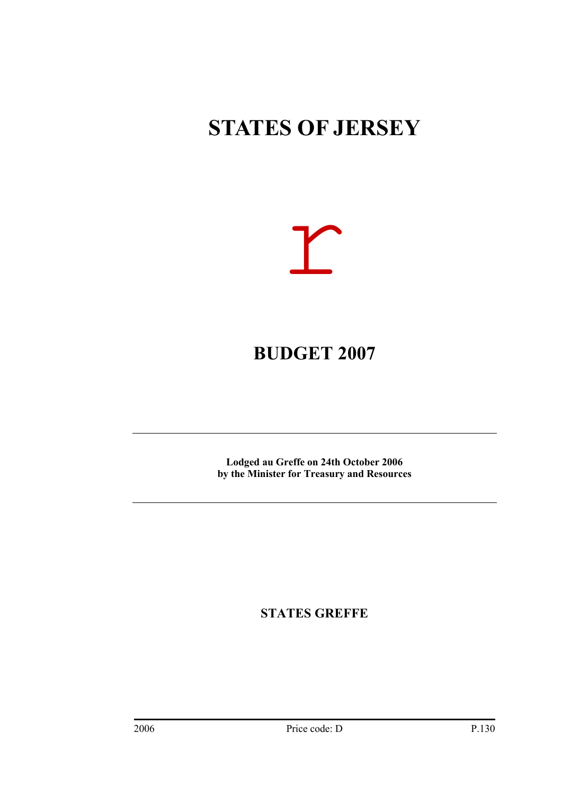### **STATES OF JERSEY**



### **BUDGET 2007**

**Lodged au Greffe on 24th October 2006** � **by the Minister for Treasury and Resources**

**STATES GREFFE**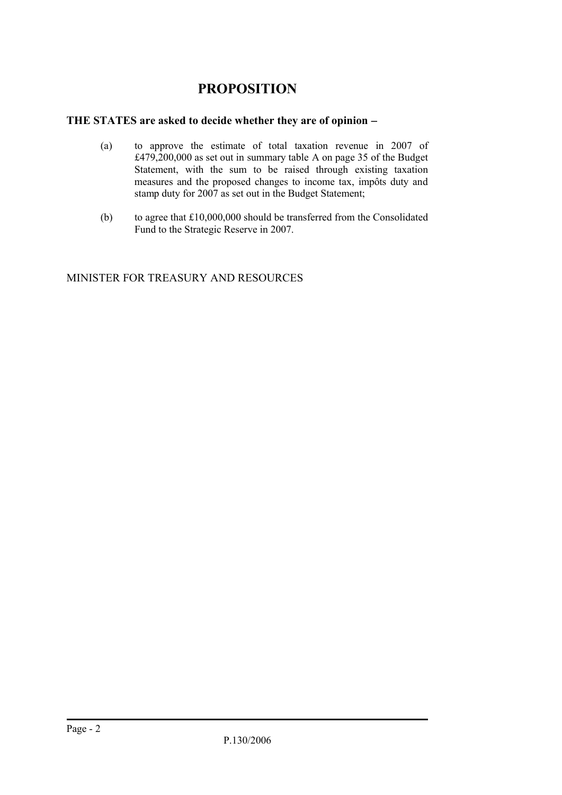### **PROPOSITION**

#### **THE STATES are asked to decide whether they are of opinion**

- (a) � to approve the estimate of total taxation revenue in 2007 of £479,200,000 as set out in summary table A on page 35 of the Budget Statement, with the sum to be raised through existing taxation measures and the proposed changes to income tax, impôts duty and stamp duty for 2007 as set out in the Budget Statement;
- (b) to agree that  $£10,000,000$  should be transferred from the Consolidated Fund to the Strategic Reserve in 2007.

MINISTER FOR TREASURY AND RESOURCES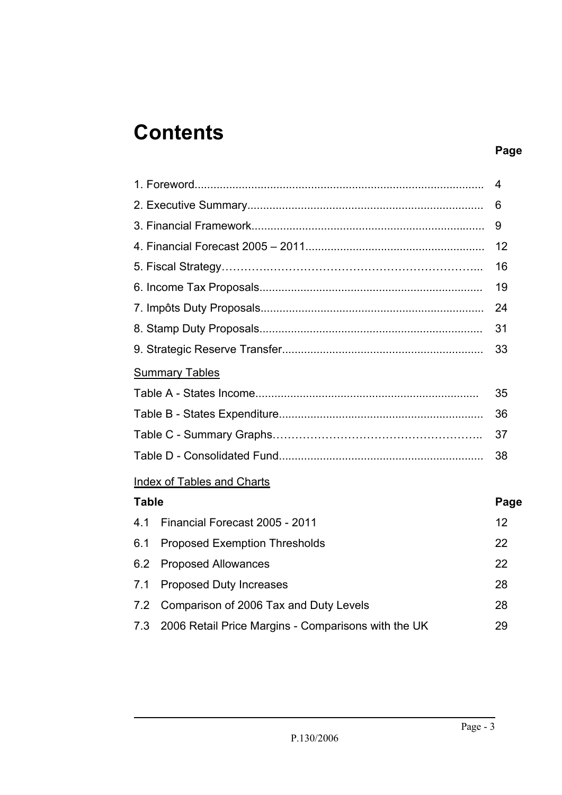### **Contents**

### **Page**

|              |                                                     | 4    |
|--------------|-----------------------------------------------------|------|
|              |                                                     | 6    |
|              |                                                     | 9    |
|              |                                                     | 12   |
|              |                                                     | 16   |
|              |                                                     | 19   |
|              |                                                     | 24   |
|              |                                                     | 31   |
|              |                                                     | 33   |
|              | <b>Summary Tables</b>                               |      |
|              |                                                     | 35   |
|              |                                                     | 36   |
|              |                                                     | 37   |
|              |                                                     | 38   |
|              | <b>Index of Tables and Charts</b>                   |      |
| <b>Table</b> |                                                     | Page |
| 4.1          | Financial Forecast 2005 - 2011                      | 12   |
| 6.1          | <b>Proposed Exemption Thresholds</b>                | 22   |
| 6.2          | <b>Proposed Allowances</b>                          | 22   |
| 7.1          | <b>Proposed Duty Increases</b>                      | 28   |
| 7.2          | Comparison of 2006 Tax and Duty Levels              | 28   |
| 7.3          | 2006 Retail Price Margins - Comparisons with the UK | 29   |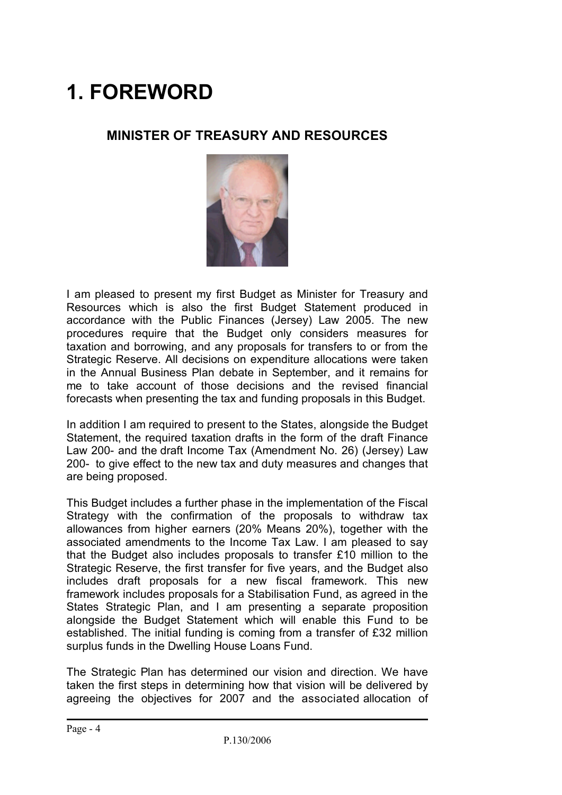# **1. FOREWORD**

### **MINISTER OF TREASURY AND RESOURCES**



I am pleased to present my first Budget as Minister for Treasury and Resources which is also the first Budget Statement produced in accordance with the Public Finances (Jersey) Law 2005. The new procedures require that the Budget only considers measures for taxation and borrowing, and any proposals for transfers to or from the Strategic Reserve. All decisions on expenditure allocations were taken in the Annual Business Plan debate in September, and it remains for me to take account of those decisions and the revised financial forecasts when presenting the tax and funding proposals in this Budget.

In addition I am required to present to the States, alongside the Budget Statement, the required taxation drafts in the form of the draft Finance Law 200- and the draft Income Tax (Amendment No. 26) (Jersey) Law 200- to give effect to the new tax and duty measures and changes that are being proposed.

This Budget includes a further phase in the implementation of the Fiscal Strategy with the confirmation of the proposals to withdraw tax allowances from higher earners (20% Means 20%), together with the associated amendments to the Income Tax Law. I am pleased to say that the Budget also includes proposals to transfer £10 million to the Strategic Reserve, the first transfer for five years, and the Budget also includes draft proposals for a new fiscal framework. This new framework includes proposals for a Stabilisation Fund, as agreed in the States Strategic Plan, and I am presenting a separate proposition alongside the Budget Statement which will enable this Fund to be established. The initial funding is coming from a transfer of £32 million surplus funds in the Dwelling House Loans Fund.

The Strategic Plan has determined our vision and direction. We have taken the first steps in determining how that vision will be delivered by agreeing the objectives for 2007 and the associated allocation of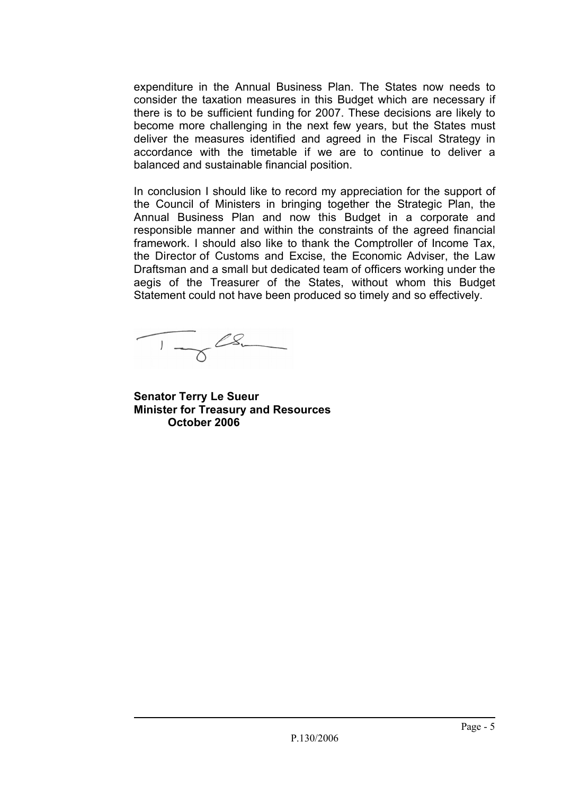expenditure in the Annual Business Plan. The States now needs to consider the taxation measures in this Budget which are necessary if there is to be sufficient funding for 2007. These decisions are likely to become more challenging in the next few years, but the States must deliver the measures identified and agreed in the Fiscal Strategy in accordance with the timetable if we are to continue to deliver a balanced and sustainable financial position.

In conclusion I should like to record my appreciation for the support of the Council of Ministers in bringing together the Strategic Plan, the Annual Business Plan and now this Budget in a corporate and responsible manner and within the constraints of the agreed financial framework. I should also like to thank the Comptroller of Income Tax, the Director of Customs and Excise, the Economic Adviser, the Law Draftsman and a small but dedicated team of officers working under the aegis of the Treasurer of the States, without whom this Budget Statement could not have been produced so timely and so effectively.

 $\frac{1}{\sqrt{2}}$ 

**Senator Terry Le Sueur Minister for Treasury and Resources October 2006**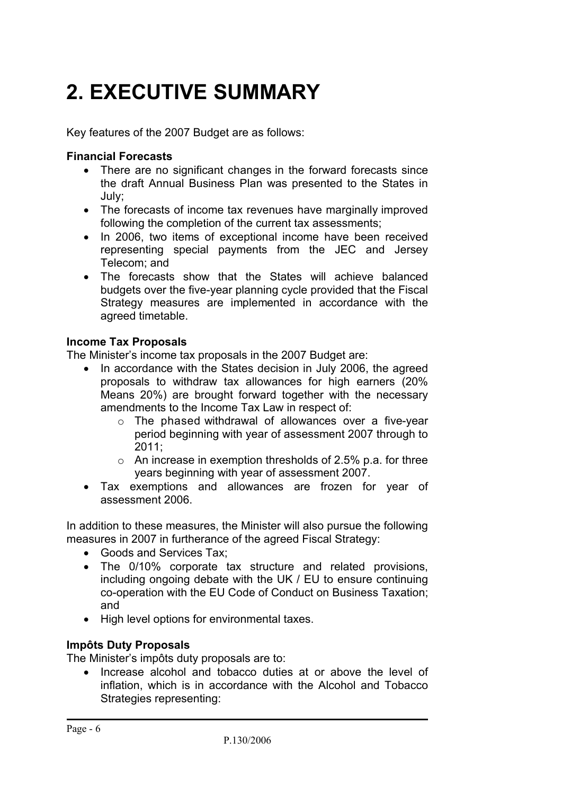# **2. EXECUTIVE SUMMARY**

Key features of the 2007 Budget are as follows:

#### **Financial Forecasts**

- There are no significant changes in the forward forecasts since the draft Annual Business Plan was presented to the States in July;
- The forecasts of income tax revenues have marginally improved following the completion of the current tax assessments;
- In 2006, two items of exceptional income have been received representing special payments from the JEC and Jersey Telecom; and
- The forecasts show that the States will achieve balanced budgets over the five-year planning cycle provided that the Fiscal Strategy measures are implemented in accordance with the agreed timetable.

#### **Income Tax Proposals**

The Minister's income tax proposals in the 2007 Budget are:

- In accordance with the States decision in July 2006, the agreed proposals to withdraw tax allowances for high earners (20% Means 20%) are brought forward together with the necessary amendments to the Income Tax Law in respect of:
	- $\circ$  The phased withdrawal of allowances over a five-year period beginning with year of assessment 2007 through to 2011;
	- $\circ$  An increase in exemption thresholds of 2.5% p.a. for three years beginning with year of assessment 2007.
- Tax exemptions and allowances are frozen for year of assessment 2006.

In addition to these measures, the Minister will also pursue the following measures in 2007 in furtherance of the agreed Fiscal Strategy:

- Goods and Services Tax;
- The 0/10% corporate tax structure and related provisions, including ongoing debate with the UK / EU to ensure continuing co-operation with the EU Code of Conduct on Business Taxation; and
- High level options for environmental taxes.

#### **Impôts Duty Proposals**

The Minister's impôts duty proposals are to:

• Increase alcohol and tobacco duties at or above the level of inflation, which is in accordance with the Alcohol and Tobacco Strategies representing: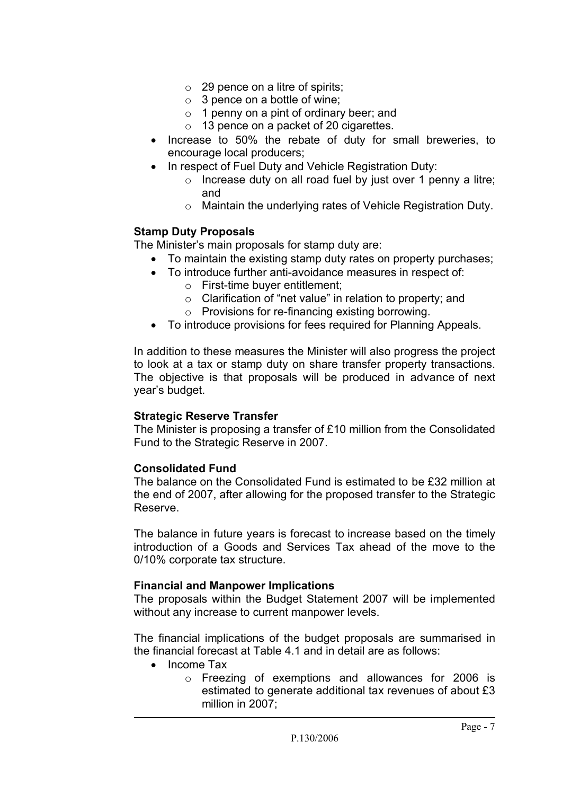- $\circ$  29 pence on a litre of spirits:
- $\circ$  3 pence on a bottle of wine:
- $\circ$  1 penny on a pint of ordinary beer; and
- o 13 pence on a packet of 20 cigarettes.
- Increase to 50% the rebate of duty for small breweries, to encourage local producers;
- In respect of Fuel Duty and Vehicle Registration Duty:
	- $\circ$  Increase duty on all road fuel by just over 1 penny a litre; and
	- $\circ$  Maintain the underlying rates of Vehicle Registration Duty.

#### **Stamp Duty Proposals**

The Minister's main proposals for stamp duty are:

- To maintain the existing stamp duty rates on property purchases;
- To introduce further anti-avoidance measures in respect of:
	- $\circ$  First-time buver entitlement:
	- $\circ$  Clarification of "net value" in relation to property; and
	- o Provisions for re-financing existing borrowing.
- To introduce provisions for fees required for Planning Appeals.

In addition to these measures the Minister will also progress the project to look at a tax or stamp duty on share transfer property transactions. The objective is that proposals will be produced in advance of next year's budget.

#### **Strategic Reserve Transfer**

The Minister is proposing a transfer of £10 million from the Consolidated Fund to the Strategic Reserve in 2007.

#### **Consolidated Fund**

The balance on the Consolidated Fund is estimated to be £32 million at the end of 2007, after allowing for the proposed transfer to the Strategic Reserve.

The balance in future years is forecast to increase based on the timely introduction of a Goods and Services Tax ahead of the move to the 0/10% corporate tax structure.

#### **Financial and Manpower Implications**

The proposals within the Budget Statement 2007 will be implemented without any increase to current manpower levels.

The financial implications of the budget proposals are summarised in the financial forecast at Table 4.1 and in detail are as follows:

- Income Tax
	- $\circ$  Freezing of exemptions and allowances for 2006 is estimated to generate additional tax revenues of about £3 million in 2007;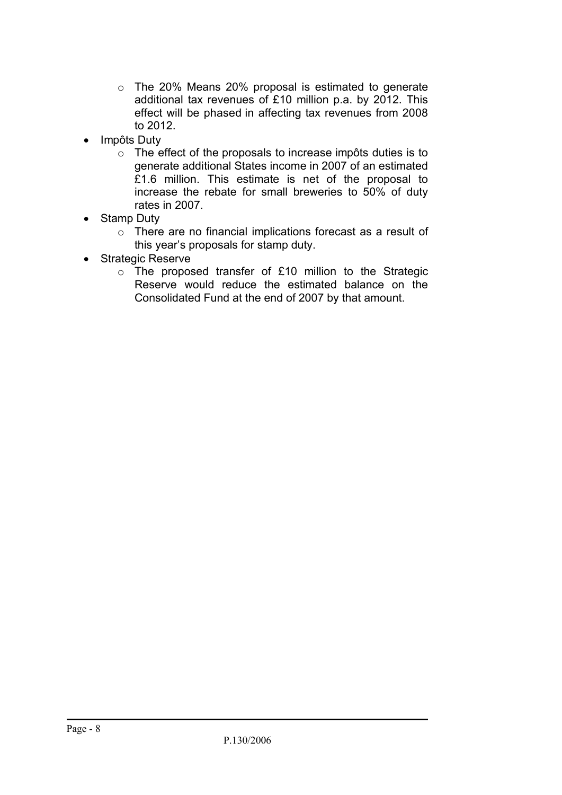- $\circ$  The 20% Means 20% proposal is estimated to generate additional tax revenues of £10 million p.a. by 2012. This effect will be phased in affecting tax revenues from 2008 to 2012.
- Impôts Duty
	- $\circ$  The effect of the proposals to increase impôts duties is to generate additional States income in 2007 of an estimated £1.6 million. This estimate is net of the proposal to increase the rebate for small breweries to 50% of duty rates in 2007.
- Stamp Duty
	- o There are no financial implications forecast as a result of this year's proposals for stamp duty.
- Strategic Reserve
	- $\circ$  The proposed transfer of £10 million to the Strategic Reserve would reduce the estimated balance on the Consolidated Fund at the end of 2007 by that amount.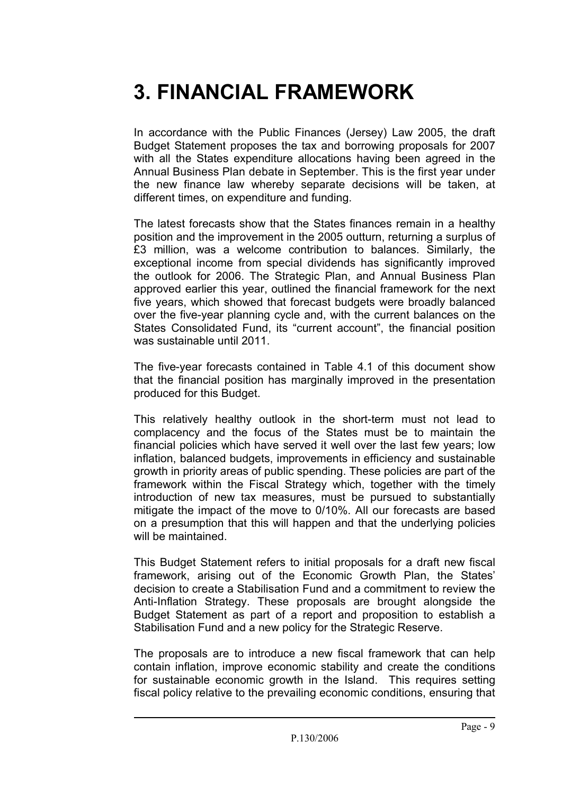### **3. FINANCIAL FRAMEWORK**

In accordance with the Public Finances (Jersey) Law 2005, the draft Budget Statement proposes the tax and borrowing proposals for 2007 with all the States expenditure allocations having been agreed in the Annual Business Plan debate in September. This is the first year under the new finance law whereby separate decisions will be taken, at different times, on expenditure and funding.

The latest forecasts show that the States finances remain in a healthy position and the improvement in the 2005 outturn, returning a surplus of £3 million, was a welcome contribution to balances. Similarly, the exceptional income from special dividends has significantly improved the outlook for 2006. The Strategic Plan, and Annual Business Plan approved earlier this year, outlined the financial framework for the next five years, which showed that forecast budgets were broadly balanced over the five-year planning cycle and, with the current balances on the States Consolidated Fund, its "current account", the financial position was sustainable until 2011.

The five-year forecasts contained in Table 4.1 of this document show that the financial position has marginally improved in the presentation produced for this Budget.

This relatively healthy outlook in the short-term must not lead to complacency and the focus of the States must be to maintain the financial policies which have served it well over the last few years; low inflation, balanced budgets, improvements in efficiency and sustainable growth in priority areas of public spending. These policies are part of the framework within the Fiscal Strategy which, together with the timely introduction of new tax measures, must be pursued to substantially mitigate the impact of the move to 0/10%. All our forecasts are based on a presumption that this will happen and that the underlying policies will be maintained.

This Budget Statement refers to initial proposals for a draft new fiscal framework, arising out of the Economic Growth Plan, the States' decision to create a Stabilisation Fund and a commitment to review the Anti-Inflation Strategy. These proposals are brought alongside the Budget Statement as part of a report and proposition to establish a Stabilisation Fund and a new policy for the Strategic Reserve.

The proposals are to introduce a new fiscal framework that can help contain inflation, improve economic stability and create the conditions for sustainable economic growth in the Island. This requires setting fiscal policy relative to the prevailing economic conditions, ensuring that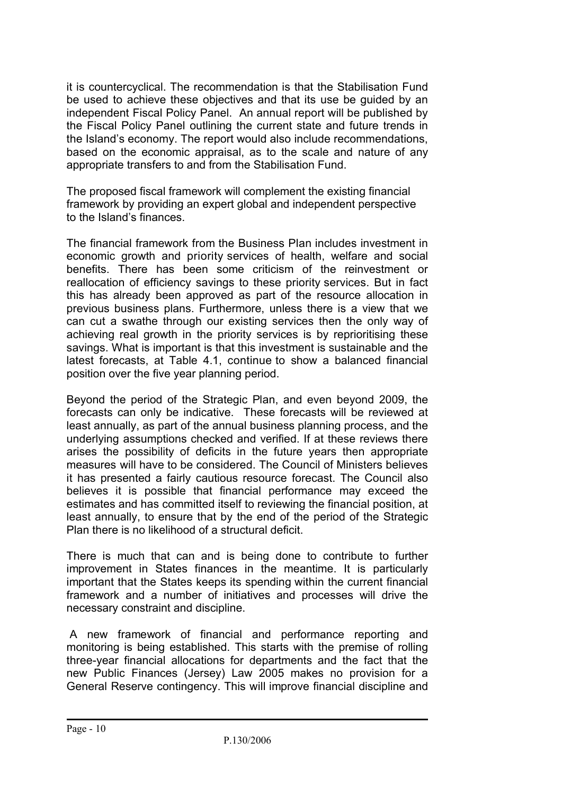it is countercyclical. The recommendation is that the Stabilisation Fund be used to achieve these objectives and that its use be guided by an independent Fiscal Policy Panel. An annual report will be published by the Fiscal Policy Panel outlining the current state and future trends in the Island's economy. The report would also include recommendations, based on the economic appraisal, as to the scale and nature of any appropriate transfers to and from the Stabilisation Fund.

The proposed fiscal framework will complement the existing financial framework by providing an expert global and independent perspective to the Island's finances.

The financial framework from the Business Plan includes investment in economic growth and priority services of health, welfare and social benefits. There has been some criticism of the reinvestment or reallocation of efficiency savings to these priority services. But in fact this has already been approved as part of the resource allocation in previous business plans. Furthermore, unless there is a view that we can cut a swathe through our existing services then the only way of achieving real growth in the priority services is by reprioritising these savings. What is important is that this investment is sustainable and the latest forecasts, at Table 4.1, continue to show a balanced financial position over the five year planning period.

Beyond the period of the Strategic Plan, and even beyond 2009, the forecasts can only be indicative. These forecasts will be reviewed at least annually, as part of the annual business planning process, and the underlying assumptions checked and verified. If at these reviews there arises the possibility of deficits in the future years then appropriate measures will have to be considered. The Council of Ministers believes it has presented a fairly cautious resource forecast. The Council also believes it is possible that financial performance may exceed the estimates and has committed itself to reviewing the financial position, at least annually, to ensure that by the end of the period of the Strategic Plan there is no likelihood of a structural deficit.

There is much that can and is being done to contribute to further improvement in States finances in the meantime. It is particularly important that the States keeps its spending within the current financial framework and a number of initiatives and processes will drive the necessary constraint and discipline.

A new framework of financial and performance reporting and monitoring is being established. This starts with the premise of rolling three-year financial allocations for departments and the fact that the new Public Finances (Jersey) Law 2005 makes no provision for a General Reserve contingency. This will improve financial discipline and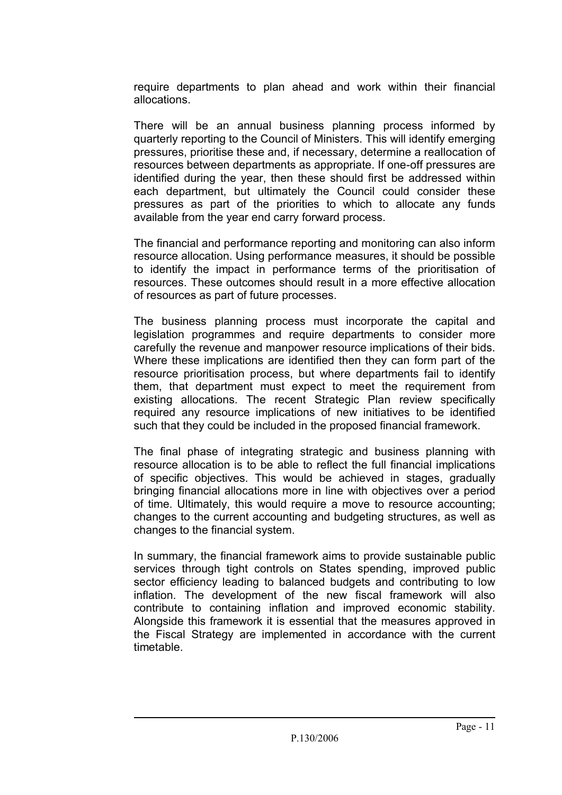require departments to plan ahead and work within their financial allocations.

There will be an annual business planning process informed by quarterly reporting to the Council of Ministers. This will identify emerging pressures, prioritise these and, if necessary, determine a reallocation of resources between departments as appropriate. If one-off pressures are identified during the year, then these should first be addressed within each department, but ultimately the Council could consider these pressures as part of the priorities to which to allocate any funds available from the year end carry forward process.

The financial and performance reporting and monitoring can also inform resource allocation. Using performance measures, it should be possible to identify the impact in performance terms of the prioritisation of resources. These outcomes should result in a more effective allocation of resources as part of future processes.

The business planning process must incorporate the capital and legislation programmes and require departments to consider more carefully the revenue and manpower resource implications of their bids. Where these implications are identified then they can form part of the resource prioritisation process, but where departments fail to identify them, that department must expect to meet the requirement from existing allocations. The recent Strategic Plan review specifically required any resource implications of new initiatives to be identified such that they could be included in the proposed financial framework.

The final phase of integrating strategic and business planning with resource allocation is to be able to reflect the full financial implications of specific objectives. This would be achieved in stages, gradually bringing financial allocations more in line with objectives over a period of time. Ultimately, this would require a move to resource accounting; changes to the current accounting and budgeting structures, as well as changes to the financial system.

In summary, the financial framework aims to provide sustainable public services through tight controls on States spending, improved public sector efficiency leading to balanced budgets and contributing to low inflation. The development of the new fiscal framework will also contribute to containing inflation and improved economic stability. Alongside this framework it is essential that the measures approved in the Fiscal Strategy are implemented in accordance with the current timetable.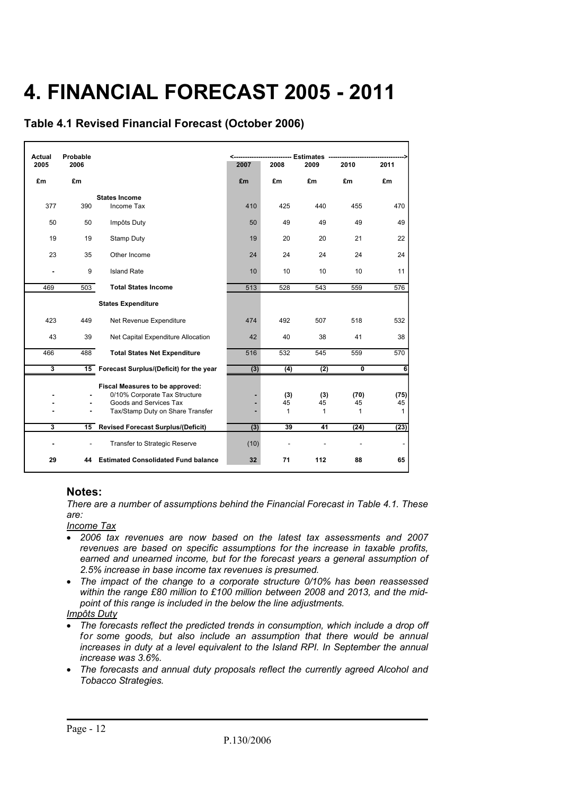# **4. FINANCIAL FORECAST 2005 - 2011**

**Table 4.1 Revised Financial Forecast (October 2006)**

| <b>Actual</b> | Probable                          | <b>Estimates</b>                           |      |      |      |                         |              |
|---------------|-----------------------------------|--------------------------------------------|------|------|------|-------------------------|--------------|
| 2005          | 2006                              |                                            | 2007 | 2008 | 2009 | 2010                    | 2011         |
| £m            | £m                                |                                            | £m   | £m   | £m   | £m                      | £m           |
|               |                                   | <b>States Income</b>                       |      |      |      |                         |              |
| 377           | 390                               | Income Tax                                 | 410  | 425  | 440  | 455                     | 470          |
| 50            | 50                                | Impôts Duty                                | 50   | 49   | 49   | 49                      | 49           |
| 19            | 19                                | Stamp Duty                                 | 19   | 20   | 20   | 21                      | 22           |
| 23            | 35                                | Other Income                               | 24   | 24   | 24   | 24                      | 24           |
|               | 9<br><b>Island Rate</b>           |                                            | 10   | 10   | 10   | 10                      | 11           |
| 469           | 503<br><b>Total States Income</b> |                                            | 513  | 528  | 543  | 559                     | 576          |
|               |                                   | <b>States Expenditure</b>                  |      |      |      |                         |              |
| 423           | 449                               | Net Revenue Expenditure                    | 474  | 492  | 507  | 518                     | 532          |
| 43            | 39                                | Net Capital Expenditure Allocation         | 42   | 40   | 38   | 41                      | 38           |
| 466           | 488                               | <b>Total States Net Expenditure</b>        | 516  | 532  | 545  | 559                     | 570          |
| 3             |                                   | 15 Forecast Surplus/(Deficit) for the year | (3)  | (4)  | (2)  | $\overline{\mathbf{0}}$ | 6            |
|               |                                   | Fiscal Measures to be approved:            |      |      |      |                         |              |
|               |                                   | 0/10% Corporate Tax Structure              |      | (3)  | (3)  | (70)                    | (75)         |
|               |                                   | Goods and Services Tax                     |      | 45   | 45   | 45                      | 45           |
|               |                                   | Tax/Stamp Duty on Share Transfer           |      | 1    | 1    | $\mathbf{1}$            | $\mathbf{1}$ |
| 3             | 15                                | <b>Revised Forecast Surplus/(Deficit)</b>  | (3)  | 39   | 41   | (24)                    | (23)         |
|               |                                   | Transfer to Strategic Reserve              | (10) |      |      |                         |              |
| 29            | 44                                | <b>Estimated Consolidated Fund balance</b> | 32   | 71   | 112  | 88                      | 65           |

#### **Notes:**

*There are a number of assumptions behind the Financial Forecast in Table 4.1. These are:* 

*Income Tax* 

- *2006 tax revenues are now based on the latest tax assessments and 2007 revenues are based on specific assumptions for the increase in taxable profits, earned and unearned income, but for the forecast years a general assumption of 2.5% increase in base income tax revenues is presumed.*
- *The impact of the change to a corporate structure 0/10% has been reassessed within the range £80 million to £100 million between 2008 and 2013, and the midpoint of this range is included in the below the line adjustments.*
- *Impôts Duty*
- The forecasts reflect the predicted trends in consumption, which include a drop off for some goods, but also include an assumption that there would be annual *increases in duty at a level equivalent to the Island RPI. In September the annual increase was 3.6%.*
- *The forecasts and annual duty proposals reflect the currently agreed Alcohol and Tobacco Strategies.*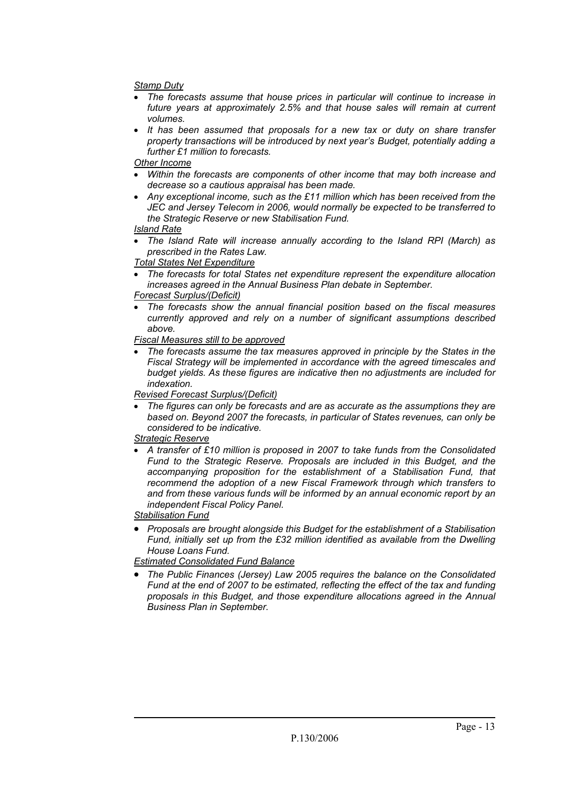#### *Stamp Duty*

- *The forecasts assume that house prices in particular will continue to increase in future years at approximately 2.5% and that house sales will remain at current volumes.*
- *It has been assumed that proposals for a new tax or duty on share transfer property transactions will be introduced by next year's Budget, potentially adding a further £1 million to forecasts.*

#### *Other Income*

- *Within the forecasts are components of other income that may both increase and decrease so a cautious appraisal has been made.*
- *Any exceptional income, such as the £11 million which has been received from the JEC and Jersey Telecom in 2006, would normally be expected to be transferred to the Strategic Reserve or new Stabilisation Fund.*

#### *Island Rate*

 *The Island Rate will increase annually according to the Island RPI (March) as prescribed in the Rates Law.* 

#### *Total States Net Expenditure*

 *The forecasts for total States net expenditure represent the expenditure allocation increases agreed in the Annual Business Plan debate in September.* 

#### *Forecast Surplus/(Deficit)*

 *The forecasts show the annual financial position based on the fiscal measures currently approved and rely on a number of significant assumptions described above.* 

#### *Fiscal Measures still to be approved*

 *The forecasts assume the tax measures approved in principle by the States in the Fiscal Strategy will be implemented in accordance with the agreed timescales and budget yields. As these figures are indicative then no adjustments are included for indexation.* 

#### *Revised Forecast Surplus/(Deficit)*

 *The figures can only be forecasts and are as accurate as the assumptions they are based on. Beyond 2007 the forecasts, in particular of States revenues, can only be considered to be indicative.* 

#### *Strategic Reserve*

 *A transfer of £10 million is proposed in 2007 to take funds from the Consolidated Fund to the Strategic Reserve. Proposals are included in this Budget, and the accompanying proposition for the establishment of a Stabilisation Fund, that recommend the adoption of a new Fiscal Framework through which transfers to and from these various funds will be informed by an annual economic report by an independent Fiscal Policy Panel.* 

#### *Stabilisation Fund*

 *Proposals are brought alongside this Budget for the establishment of a Stabilisation Fund, initially set up from the £32 million identified as available from the Dwelling House Loans Fund.* 

*Estimated Consolidated Fund Balance* 

 *The Public Finances (Jersey) Law 2005 requires the balance on the Consolidated Fund at the end of 2007 to be estimated, reflecting the effect of the tax and funding proposals in this Budget, and those expenditure allocations agreed in the Annual Business Plan in September.*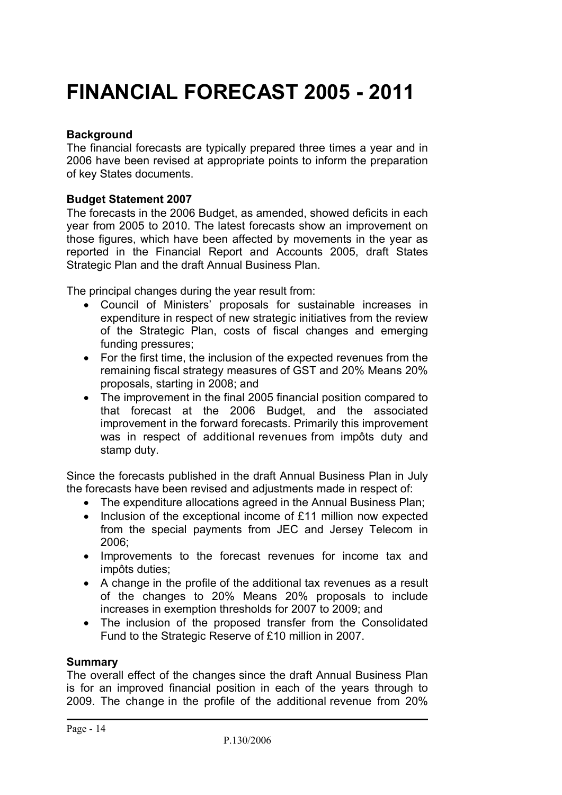### **FINANCIAL FORECAST 2005 - 2011**

#### **Background**

The financial forecasts are typically prepared three times a year and in 2006 have been revised at appropriate points to inform the preparation of key States documents.

#### **Budget Statement 2007**

The forecasts in the 2006 Budget, as amended, showed deficits in each year from 2005 to 2010. The latest forecasts show an improvement on those figures, which have been affected by movements in the year as reported in the Financial Report and Accounts 2005, draft States Strategic Plan and the draft Annual Business Plan.

The principal changes during the year result from:

- Council of Ministers' proposals for sustainable increases in expenditure in respect of new strategic initiatives from the review of the Strategic Plan, costs of fiscal changes and emerging funding pressures;
- For the first time, the inclusion of the expected revenues from the remaining fiscal strategy measures of GST and 20% Means 20% proposals, starting in 2008; and
- The improvement in the final 2005 financial position compared to that forecast at the 2006 Budget, and the associated improvement in the forward forecasts. Primarily this improvement was in respect of additional revenues from impôts duty and stamp duty.

Since the forecasts published in the draft Annual Business Plan in July the forecasts have been revised and adjustments made in respect of:

- The expenditure allocations agreed in the Annual Business Plan:
- Inclusion of the exceptional income of £11 million now expected from the special payments from JEC and Jersey Telecom in 2006;
- Improvements to the forecast revenues for income tax and impôts duties;
- A change in the profile of the additional tax revenues as a result of the changes to 20% Means 20% proposals to include increases in exemption thresholds for 2007 to 2009; and
- The inclusion of the proposed transfer from the Consolidated Fund to the Strategic Reserve of £10 million in 2007.

#### **Summary**

The overall effect of the changes since the draft Annual Business Plan is for an improved financial position in each of the years through to 2009. The change in the profile of the additional revenue from 20%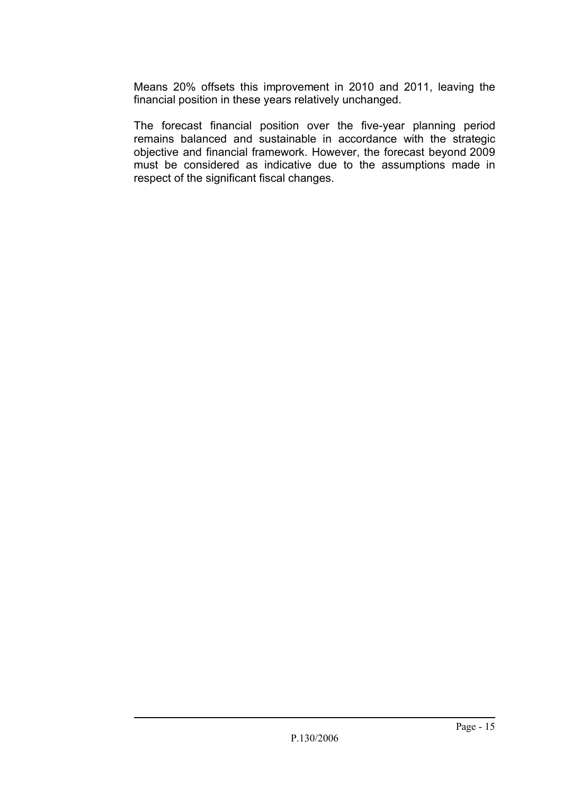Means 20% offsets this improvement in 2010 and 2011, leaving the financial position in these years relatively unchanged.

The forecast financial position over the five-year planning period remains balanced and sustainable in accordance with the strategic objective and financial framework. However, the forecast beyond 2009 must be considered as indicative due to the assumptions made in respect of the significant fiscal changes.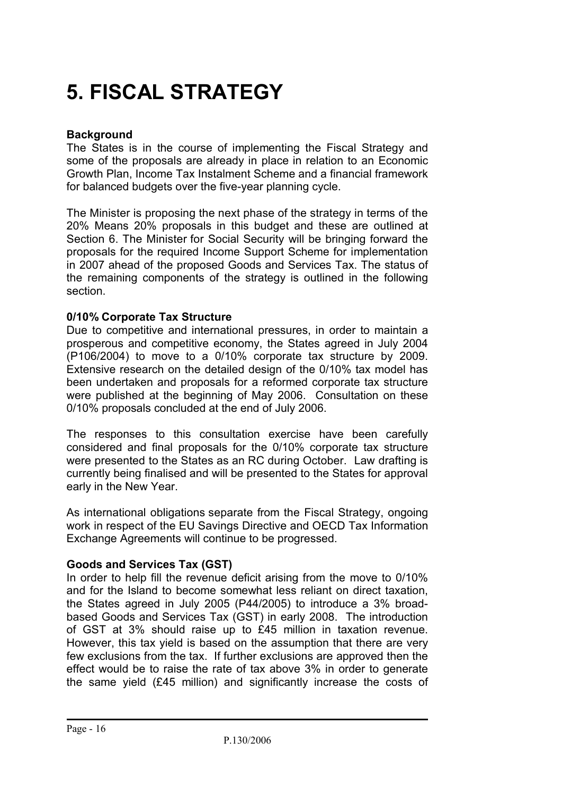# **5. FISCAL STRATEGY**

#### **Background**

The States is in the course of implementing the Fiscal Strategy and some of the proposals are already in place in relation to an Economic Growth Plan, Income Tax Instalment Scheme and a financial framework for balanced budgets over the five-year planning cycle.

The Minister is proposing the next phase of the strategy in terms of the 20% Means 20% proposals in this budget and these are outlined at Section 6. The Minister for Social Security will be bringing forward the proposals for the required Income Support Scheme for implementation in 2007 ahead of the proposed Goods and Services Tax. The status of the remaining components of the strategy is outlined in the following section.

#### **0/10% Corporate Tax Structure**

Due to competitive and international pressures, in order to maintain a prosperous and competitive economy, the States agreed in July 2004 (P106/2004) to move to a 0/10% corporate tax structure by 2009. Extensive research on the detailed design of the 0/10% tax model has been undertaken and proposals for a reformed corporate tax structure were published at the beginning of May 2006. Consultation on these 0/10% proposals concluded at the end of July 2006.

The responses to this consultation exercise have been carefully considered and final proposals for the 0/10% corporate tax structure were presented to the States as an RC during October. Law drafting is currently being finalised and will be presented to the States for approval early in the New Year.

As international obligations separate from the Fiscal Strategy, ongoing work in respect of the EU Savings Directive and OECD Tax Information Exchange Agreements will continue to be progressed.

#### **Goods and Services Tax (GST)**

In order to help fill the revenue deficit arising from the move to 0/10% and for the Island to become somewhat less reliant on direct taxation, the States agreed in July 2005 (P44/2005) to introduce a 3% broadbased Goods and Services Tax (GST) in early 2008. The introduction of GST at 3% should raise up to £45 million in taxation revenue. However, this tax yield is based on the assumption that there are very few exclusions from the tax. If further exclusions are approved then the effect would be to raise the rate of tax above 3% in order to generate the same yield (£45 million) and significantly increase the costs of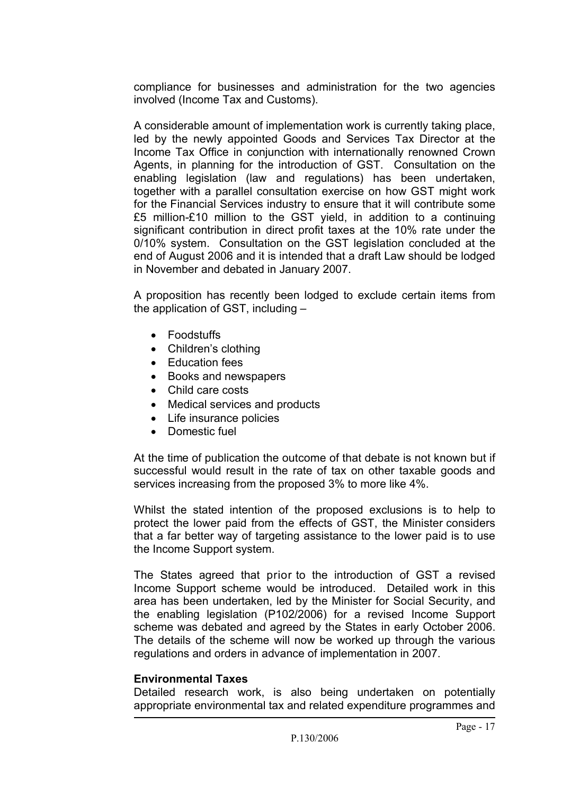compliance for businesses and administration for the two agencies involved (Income Tax and Customs).

A considerable amount of implementation work is currently taking place, led by the newly appointed Goods and Services Tax Director at the Income Tax Office in conjunction with internationally renowned Crown Agents, in planning for the introduction of GST. Consultation on the enabling legislation (law and regulations) has been undertaken, together with a parallel consultation exercise on how GST might work for the Financial Services industry to ensure that it will contribute some £5 million-£10 million to the GST yield, in addition to a continuing significant contribution in direct profit taxes at the 10% rate under the 0/10% system. Consultation on the GST legislation concluded at the end of August 2006 and it is intended that a draft Law should be lodged in November and debated in January 2007.

A proposition has recently been lodged to exclude certain items from the application of GST, including –

- Foodstuffs
- Children's clothing
- Education fees
- Books and newspapers
- Child care costs
- Medical services and products
- Life insurance policies
- Domestic fuel

At the time of publication the outcome of that debate is not known but if successful would result in the rate of tax on other taxable goods and services increasing from the proposed 3% to more like 4%.

Whilst the stated intention of the proposed exclusions is to help to protect the lower paid from the effects of GST, the Minister considers that a far better way of targeting assistance to the lower paid is to use the Income Support system.

The States agreed that prior to the introduction of GST a revised Income Support scheme would be introduced. Detailed work in this area has been undertaken, led by the Minister for Social Security, and the enabling legislation (P102/2006) for a revised Income Support scheme was debated and agreed by the States in early October 2006. The details of the scheme will now be worked up through the various regulations and orders in advance of implementation in 2007.

#### **Environmental Taxes**

Detailed research work, is also being undertaken on potentially appropriate environmental tax and related expenditure programmes and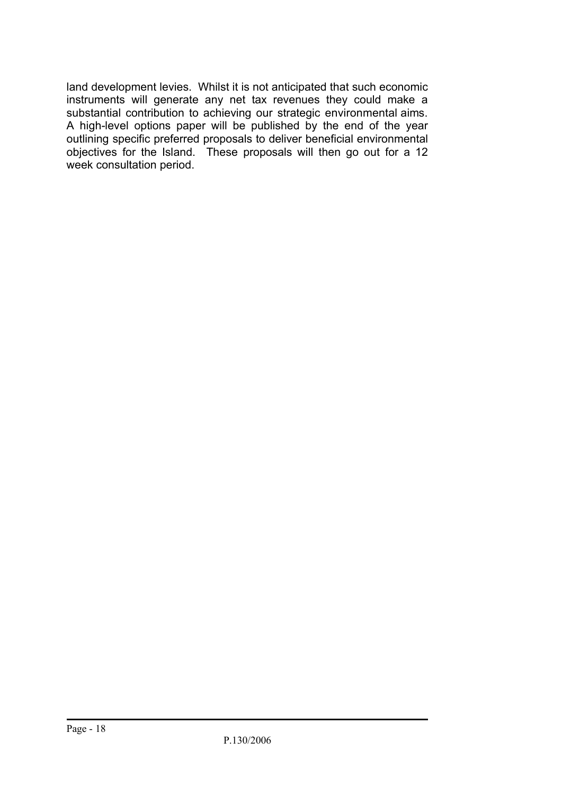land development levies. Whilst it is not anticipated that such economic instruments will generate any net tax revenues they could make a substantial contribution to achieving our strategic environmental aims. A high-level options paper will be published by the end of the year outlining specific preferred proposals to deliver beneficial environmental objectives for the Island. These proposals will then go out for a 12 week consultation period.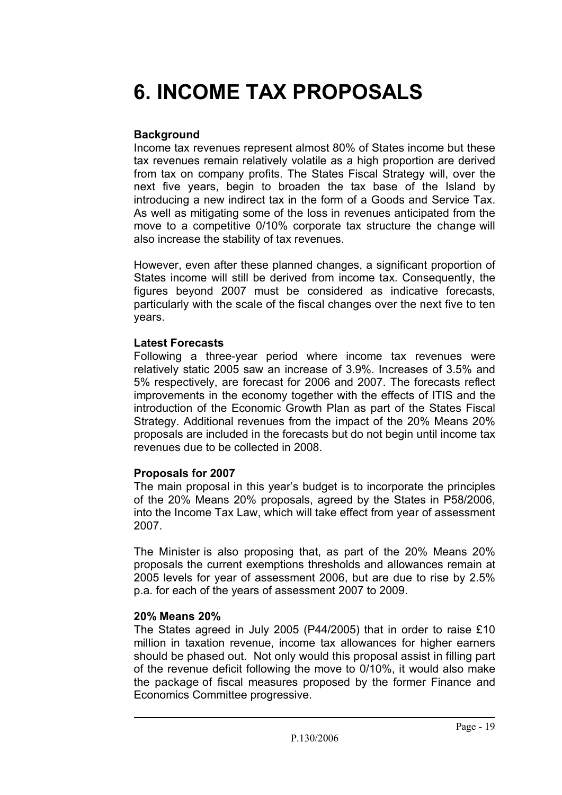# **6. INCOME TAX PROPOSALS**

#### **Background**

Income tax revenues represent almost 80% of States income but these tax revenues remain relatively volatile as a high proportion are derived from tax on company profits. The States Fiscal Strategy will, over the next five years, begin to broaden the tax base of the Island by introducing a new indirect tax in the form of a Goods and Service Tax. As well as mitigating some of the loss in revenues anticipated from the move to a competitive 0/10% corporate tax structure the change will also increase the stability of tax revenues.

However, even after these planned changes, a significant proportion of States income will still be derived from income tax. Consequently, the figures beyond 2007 must be considered as indicative forecasts, particularly with the scale of the fiscal changes over the next five to ten years.

#### **Latest Forecasts**

Following a three-year period where income tax revenues were relatively static 2005 saw an increase of 3.9%. Increases of 3.5% and 5% respectively, are forecast for 2006 and 2007. The forecasts reflect improvements in the economy together with the effects of ITIS and the introduction of the Economic Growth Plan as part of the States Fiscal Strategy. Additional revenues from the impact of the 20% Means 20% proposals are included in the forecasts but do not begin until income tax revenues due to be collected in 2008.

#### **Proposals for 2007**

The main proposal in this year's budget is to incorporate the principles of the 20% Means 20% proposals, agreed by the States in P58/2006, into the Income Tax Law, which will take effect from year of assessment 2007.

The Minister is also proposing that, as part of the 20% Means 20% proposals the current exemptions thresholds and allowances remain at 2005 levels for year of assessment 2006, but are due to rise by 2.5% p.a. for each of the years of assessment 2007 to 2009.

#### **20% Means 20%**

The States agreed in July 2005 (P44/2005) that in order to raise £10 million in taxation revenue, income tax allowances for higher earners should be phased out. Not only would this proposal assist in filling part of the revenue deficit following the move to 0/10%, it would also make the package of fiscal measures proposed by the former Finance and Economics Committee progressive.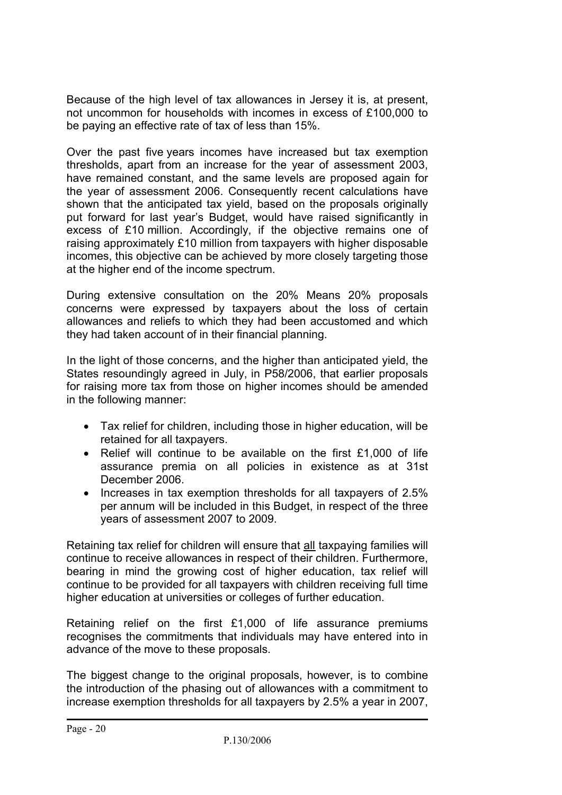Because of the high level of tax allowances in Jersey it is, at present, not uncommon for households with incomes in excess of £100,000 to be paying an effective rate of tax of less than 15%.

Over the past five years incomes have increased but tax exemption thresholds, apart from an increase for the year of assessment 2003, have remained constant, and the same levels are proposed again for the year of assessment 2006. Consequently recent calculations have shown that the anticipated tax yield, based on the proposals originally put forward for last year's Budget, would have raised significantly in excess of £10 million. Accordingly, if the objective remains one of raising approximately £10 million from taxpayers with higher disposable incomes, this objective can be achieved by more closely targeting those at the higher end of the income spectrum.

During extensive consultation on the 20% Means 20% proposals concerns were expressed by taxpayers about the loss of certain allowances and reliefs to which they had been accustomed and which they had taken account of in their financial planning.

In the light of those concerns, and the higher than anticipated yield, the States resoundingly agreed in July, in P58/2006, that earlier proposals for raising more tax from those on higher incomes should be amended in the following manner:

- Tax relief for children, including those in higher education, will be retained for all taxpayers.
- Relief will continue to be available on the first £1,000 of life assurance premia on all policies in existence as at 31st December 2006.
- Increases in tax exemption thresholds for all taxpayers of 2.5% per annum will be included in this Budget, in respect of the three years of assessment 2007 to 2009.

Retaining tax relief for children will ensure that all taxpaying families will continue to receive allowances in respect of their children. Furthermore, bearing in mind the growing cost of higher education, tax relief will continue to be provided for all taxpayers with children receiving full time higher education at universities or colleges of further education.

Retaining relief on the first £1,000 of life assurance premiums recognises the commitments that individuals may have entered into in advance of the move to these proposals.

The biggest change to the original proposals, however, is to combine the introduction of the phasing out of allowances with a commitment to increase exemption thresholds for all taxpayers by 2.5% a year in 2007,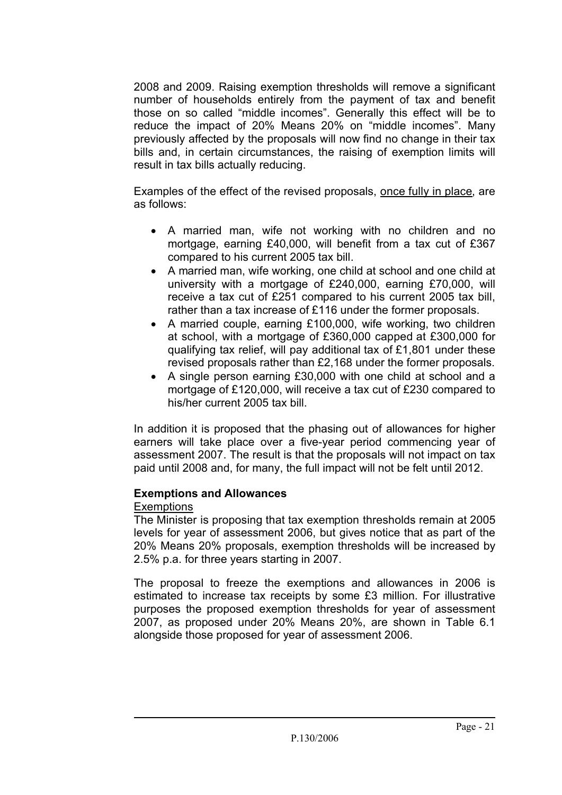2008 and 2009. Raising exemption thresholds will remove a significant number of households entirely from the payment of tax and benefit those on so called "middle incomes". Generally this effect will be to reduce the impact of 20% Means 20% on "middle incomes". Many previously affected by the proposals will now find no change in their tax bills and, in certain circumstances, the raising of exemption limits will result in tax bills actually reducing.

Examples of the effect of the revised proposals, once fully in place, are as follows:

- A married man, wife not working with no children and no mortgage, earning £40,000, will benefit from a tax cut of £367 compared to his current 2005 tax bill.
- A married man, wife working, one child at school and one child at university with a mortgage of £240,000, earning £70,000, will receive a tax cut of £251 compared to his current 2005 tax bill, rather than a tax increase of £116 under the former proposals.
- A married couple, earning £100,000, wife working, two children at school, with a mortgage of £360,000 capped at £300,000 for qualifying tax relief, will pay additional tax of £1,801 under these revised proposals rather than £2,168 under the former proposals.
- A single person earning £30,000 with one child at school and a mortgage of £120,000, will receive a tax cut of £230 compared to his/her current 2005 tax bill.

In addition it is proposed that the phasing out of allowances for higher earners will take place over a five-year period commencing year of assessment 2007. The result is that the proposals will not impact on tax paid until 2008 and, for many, the full impact will not be felt until 2012.

#### **Exemptions and Allowances**

#### Exemptions

The Minister is proposing that tax exemption thresholds remain at 2005 levels for year of assessment 2006, but gives notice that as part of the 20% Means 20% proposals, exemption thresholds will be increased by 2.5% p.a. for three years starting in 2007.

The proposal to freeze the exemptions and allowances in 2006 is estimated to increase tax receipts by some £3 million. For illustrative purposes the proposed exemption thresholds for year of assessment 2007, as proposed under 20% Means 20%, are shown in Table 6.1 alongside those proposed for year of assessment 2006.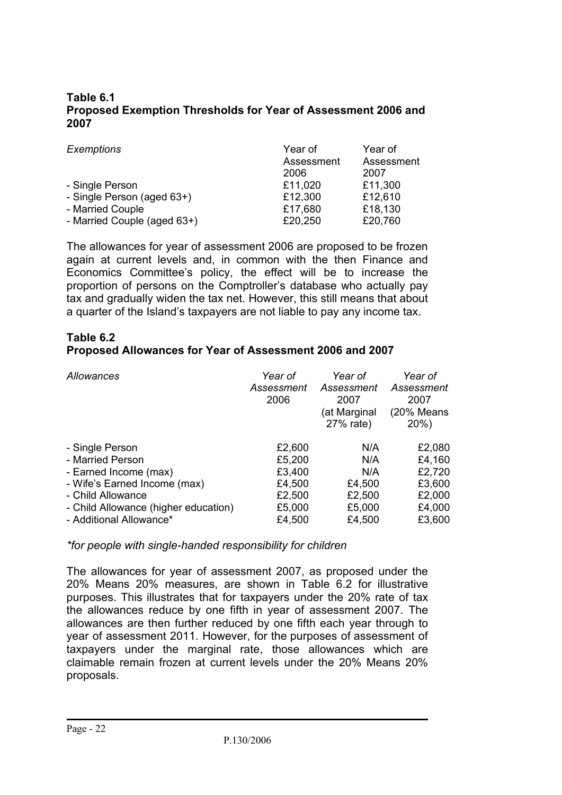#### **2007 Table 6.1 Proposed Exemption Thresholds for Year of Assessment 2006 and**

| Exemptions                  | Year of    | Year of    |
|-----------------------------|------------|------------|
|                             | Assessment | Assessment |
|                             | 2006       | 2007       |
| - Single Person             | £11,020    | £11,300    |
| - Single Person (aged 63+)  | £12,300    | £12,610    |
| - Married Couple            | £17,680    | £18,130    |
| - Married Couple (aged 63+) | £20,250    | £20,760    |

The allowances for year of assessment 2006 are proposed to be frozen again at current levels and, in common with the then Finance and Economics Committee's policy, the effect will be to increase the proportion of persons on the Comptroller's database who actually pay tax and gradually widen the tax net. However, this still means that about a quarter of the Island's taxpayers are not liable to pay any income tax.

#### **Table 6.2 Proposed Allowances for Year of Assessment 2006 and 2007**

| Allowances                           | Year of<br>Assessment<br>2006 | Year of<br>Assessment<br>2007<br>(at Marginal<br>27% rate) | Year of<br>Assessment<br>2007<br>(20% Means<br>20% |
|--------------------------------------|-------------------------------|------------------------------------------------------------|----------------------------------------------------|
| - Single Person                      | £2,600                        | N/A                                                        | £2,080                                             |
|                                      |                               |                                                            |                                                    |
| - Married Person                     | £5,200                        | N/A                                                        | £4,160                                             |
| - Earned Income (max)                | £3,400                        | N/A                                                        | £2,720                                             |
| - Wife's Earned Income (max)         | £4,500                        | £4,500                                                     | £3,600                                             |
| - Child Allowance                    | £2,500                        | £2,500                                                     | £2,000                                             |
| - Child Allowance (higher education) | £5,000                        | £5,000                                                     | £4,000                                             |
| - Additional Allowance*              | £4,500                        | £4,500                                                     | £3,600                                             |

*\*for people with single-handed responsibility for children* 

The allowances for year of assessment 2007, as proposed under the 20% Means 20% measures, are shown in Table 6.2 for illustrative purposes. This illustrates that for taxpayers under the 20% rate of tax the allowances reduce by one fifth in year of assessment 2007. The allowances are then further reduced by one fifth each year through to year of assessment 2011. However, for the purposes of assessment of taxpayers under the marginal rate, those allowances which are claimable remain frozen at current levels under the 20% Means 20% proposals.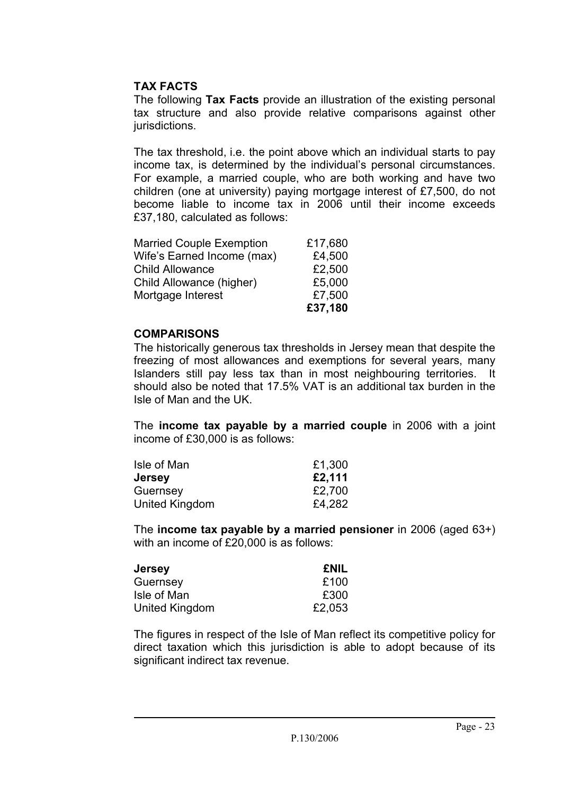#### **TAX FACTS**

The following **Tax Facts** provide an illustration of the existing personal tax structure and also provide relative comparisons against other jurisdictions.

The tax threshold, i.e. the point above which an individual starts to pay income tax, is determined by the individual's personal circumstances. For example, a married couple, who are both working and have two children (one at university) paying mortgage interest of £7,500, do not become liable to income tax in 2006 until their income exceeds £37,180, calculated as follows:

| <b>Married Couple Exemption</b> | £17,680 |
|---------------------------------|---------|
| Wife's Earned Income (max)      | £4,500  |
| <b>Child Allowance</b>          | £2,500  |
| Child Allowance (higher)        | £5,000  |
| Mortgage Interest               | £7,500  |
|                                 | £37,180 |

#### **COMPARISONS**

The historically generous tax thresholds in Jersey mean that despite the freezing of most allowances and exemptions for several years, many Islanders still pay less tax than in most neighbouring territories. It should also be noted that 17.5% VAT is an additional tax burden in the Isle of Man and the UK.

The **income tax payable by a married couple** in 2006 with a joint income of £30,000 is as follows:

| Isle of Man    | £1,300 |
|----------------|--------|
| <b>Jersey</b>  | £2,111 |
| Guernsey       | £2,700 |
| United Kingdom | £4,282 |

The **income tax payable by a married pensioner** in 2006 (aged 63+) with an income of £20,000 is as follows:

| Jersey         | <b>£NIL</b> |
|----------------|-------------|
| Guernsey       | £100        |
| Isle of Man    | £300        |
| United Kingdom | £2,053      |

The figures in respect of the Isle of Man reflect its competitive policy for direct taxation which this jurisdiction is able to adopt because of its significant indirect tax revenue.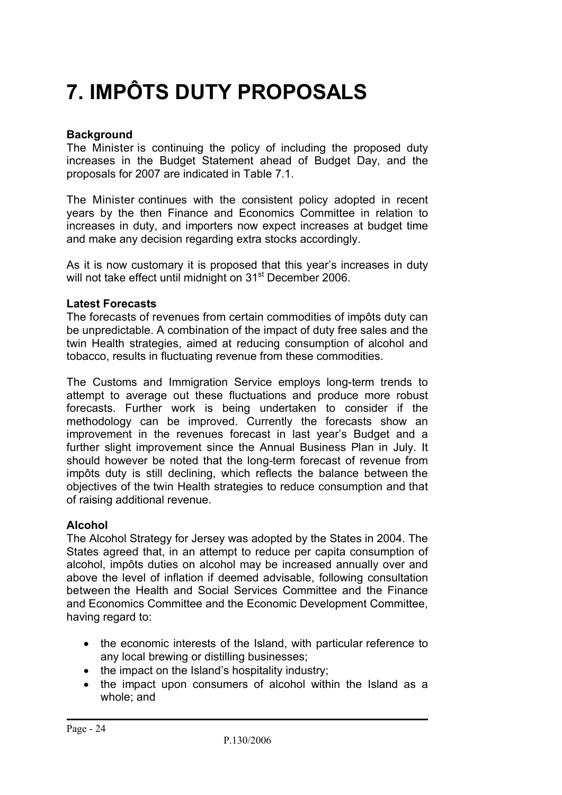# **7. IMPÔTS DUTY PROPOSALS**

#### **Background**

The Minister is continuing the policy of including the proposed duty increases in the Budget Statement ahead of Budget Day, and the proposals for 2007 are indicated in Table 7.1.

The Minister continues with the consistent policy adopted in recent years by the then Finance and Economics Committee in relation to increases in duty, and importers now expect increases at budget time and make any decision regarding extra stocks accordingly.

As it is now customary it is proposed that this year's increases in duty will not take effect until midnight on 31<sup>st</sup> December 2006.

#### **Latest Forecasts**

The forecasts of revenues from certain commodities of impôts duty can be unpredictable. A combination of the impact of duty free sales and the twin Health strategies, aimed at reducing consumption of alcohol and tobacco, results in fluctuating revenue from these commodities.

The Customs and Immigration Service employs long-term trends to attempt to average out these fluctuations and produce more robust forecasts. Further work is being undertaken to consider if the methodology can be improved. Currently the forecasts show an improvement in the revenues forecast in last year's Budget and a further slight improvement since the Annual Business Plan in July. It should however be noted that the long-term forecast of revenue from impôts duty is still declining, which reflects the balance between the objectives of the twin Health strategies to reduce consumption and that of raising additional revenue.

#### **Alcohol**

The Alcohol Strategy for Jersey was adopted by the States in 2004. The States agreed that, in an attempt to reduce per capita consumption of alcohol, impôts duties on alcohol may be increased annually over and above the level of inflation if deemed advisable, following consultation between the Health and Social Services Committee and the Finance and Economics Committee and the Economic Development Committee, having regard to:

- the economic interests of the Island, with particular reference to any local brewing or distilling businesses;
- the impact on the Island's hospitality industry:
- the impact upon consumers of alcohol within the Island as a whole; and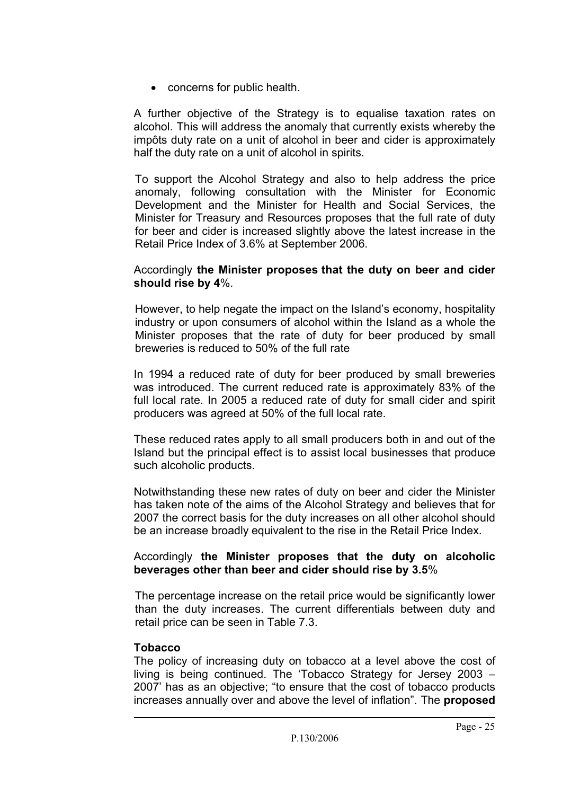• concerns for public health.

A further objective of the Strategy is to equalise taxation rates on alcohol. This will address the anomaly that currently exists whereby the impôts duty rate on a unit of alcohol in beer and cider is approximately half the duty rate on a unit of alcohol in spirits.

To support the Alcohol Strategy and also to help address the price anomaly, following consultation with the Minister for Economic Development and the Minister for Health and Social Services, the Minister for Treasury and Resources proposes that the full rate of duty for beer and cider is increased slightly above the latest increase in the Retail Price Index of 3.6% at September 2006.

#### Accordingly **the Minister proposes that the duty on beer and cider should rise by 4**%.

However, to help negate the impact on the Island's economy, hospitality industry or upon consumers of alcohol within the Island as a whole the Minister proposes that the rate of duty for beer produced by small breweries is reduced to 50% of the full rate

In 1994 a reduced rate of duty for beer produced by small breweries was introduced. The current reduced rate is approximately 83% of the full local rate. In 2005 a reduced rate of duty for small cider and spirit producers was agreed at 50% of the full local rate.

These reduced rates apply to all small producers both in and out of the Island but the principal effect is to assist local businesses that produce such alcoholic products.

Notwithstanding these new rates of duty on beer and cider the Minister has taken note of the aims of the Alcohol Strategy and believes that for 2007 the correct basis for the duty increases on all other alcohol should be an increase broadly equivalent to the rise in the Retail Price Index.

#### Accordingly **the Minister proposes that the duty on alcoholic beverages other than beer and cider should rise by 3.5**%

The percentage increase on the retail price would be significantly lower than the duty increases. The current differentials between duty and retail price can be seen in Table 7.3.

#### **Tobacco**

The policy of increasing duty on tobacco at a level above the cost of living is being continued. The 'Tobacco Strategy for Jersey 2003 – 2007' has as an objective; "to ensure that the cost of tobacco products increases annually over and above the level of inflation". The **proposed**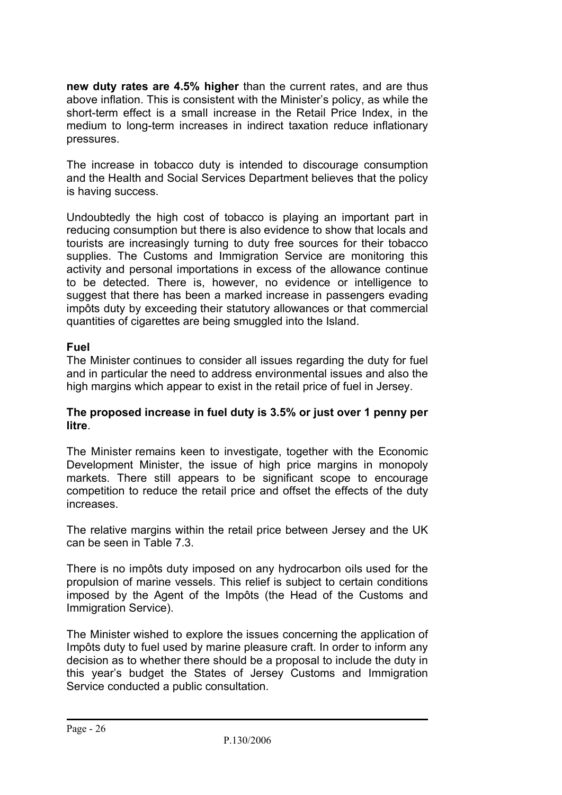**new duty rates are 4.5% higher** than the current rates, and are thus above inflation. This is consistent with the Minister's policy, as while the short-term effect is a small increase in the Retail Price Index, in the medium to long-term increases in indirect taxation reduce inflationary pressures.

The increase in tobacco duty is intended to discourage consumption and the Health and Social Services Department believes that the policy is having success.

Undoubtedly the high cost of tobacco is playing an important part in reducing consumption but there is also evidence to show that locals and tourists are increasingly turning to duty free sources for their tobacco supplies. The Customs and Immigration Service are monitoring this activity and personal importations in excess of the allowance continue to be detected. There is, however, no evidence or intelligence to suggest that there has been a marked increase in passengers evading impôts duty by exceeding their statutory allowances or that commercial quantities of cigarettes are being smuggled into the Island.

#### **Fuel**

The Minister continues to consider all issues regarding the duty for fuel and in particular the need to address environmental issues and also the high margins which appear to exist in the retail price of fuel in Jersey.

#### **The proposed increase in fuel duty is 3.5% or just over 1 penny per litre**.

The Minister remains keen to investigate, together with the Economic Development Minister, the issue of high price margins in monopoly markets. There still appears to be significant scope to encourage competition to reduce the retail price and offset the effects of the duty increases.

The relative margins within the retail price between Jersey and the UK can be seen in Table 7.3.

There is no impôts duty imposed on any hydrocarbon oils used for the propulsion of marine vessels. This relief is subject to certain conditions imposed by the Agent of the Impôts (the Head of the Customs and Immigration Service).

The Minister wished to explore the issues concerning the application of Impôts duty to fuel used by marine pleasure craft. In order to inform any decision as to whether there should be a proposal to include the duty in this year's budget the States of Jersey Customs and Immigration Service conducted a public consultation.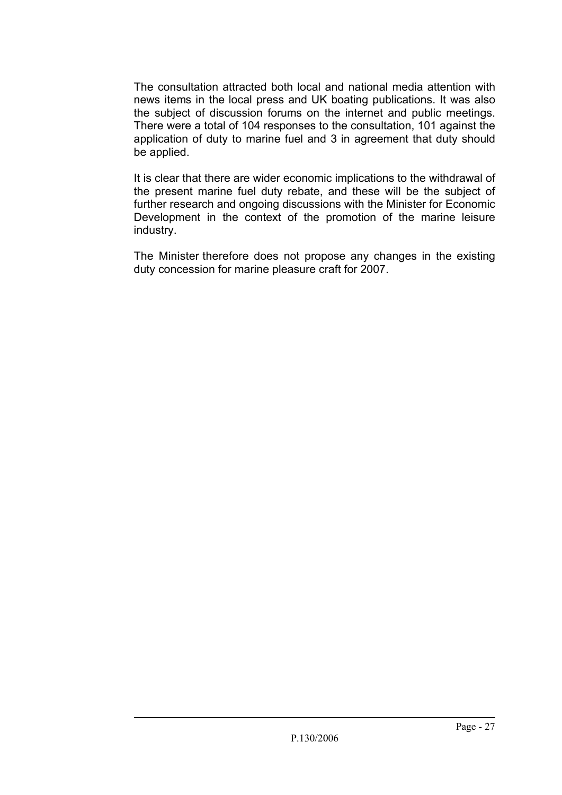The consultation attracted both local and national media attention with news items in the local press and UK boating publications. It was also the subject of discussion forums on the internet and public meetings. There were a total of 104 responses to the consultation, 101 against the application of duty to marine fuel and 3 in agreement that duty should be applied.

It is clear that there are wider economic implications to the withdrawal of the present marine fuel duty rebate, and these will be the subject of further research and ongoing discussions with the Minister for Economic Development in the context of the promotion of the marine leisure industry.

The Minister therefore does not propose any changes in the existing duty concession for marine pleasure craft for 2007.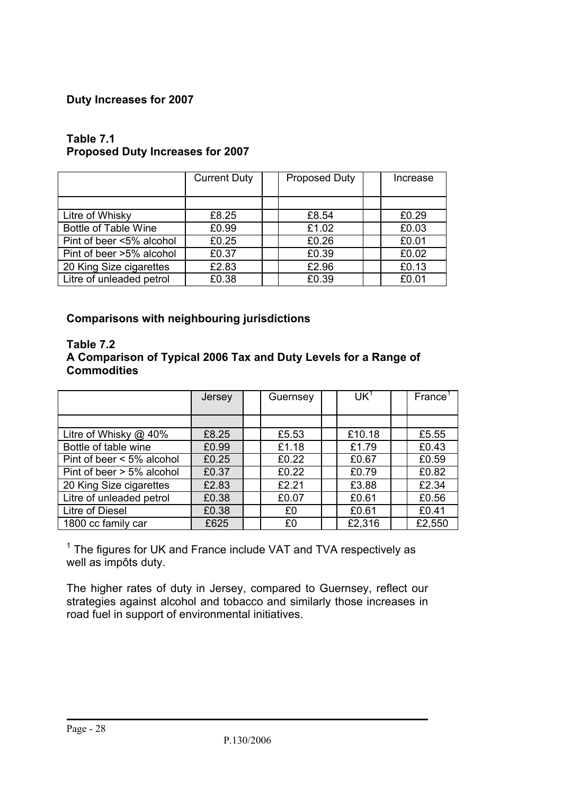#### **Duty Increases for 2007**

|                             | <b>Current Duty</b> |  | <b>Proposed Duty</b> |  | Increase |
|-----------------------------|---------------------|--|----------------------|--|----------|
|                             |                     |  |                      |  |          |
| Litre of Whisky             | £8.25               |  | £8.54                |  | £0.29    |
| <b>Bottle of Table Wine</b> | £0.99               |  | £1.02                |  | £0.03    |
| Pint of beer <5% alcohol    | £0.25               |  | £0.26                |  | £0.01    |
| Pint of beer >5% alcohol    | £0.37               |  | £0.39                |  | £0.02    |
| 20 King Size cigarettes     | £2.83               |  | £2.96                |  | £0.13    |
| Litre of unleaded petrol    | £0.38               |  | £0.39                |  | £0.01    |

#### **Table 7.1 Proposed Duty Increases for 2007**

### **Comparisons with neighbouring jurisdictions**

#### **Table 7.2 A Comparison of Typical 2006 Tax and Duty Levels for a Range of Commodities**

|                              | Jersey | Guernsey | UK <sup>1</sup> | France <sup>1</sup> |
|------------------------------|--------|----------|-----------------|---------------------|
|                              |        |          |                 |                     |
| Litre of Whisky @ 40%        | £8.25  | £5.53    | £10.18          | £5.55               |
| Bottle of table wine         | £0.99  | £1.18    | £1.79           | £0.43               |
| Pint of beer $< 5\%$ alcohol | £0.25  | £0.22    | £0.67           | £0.59               |
| Pint of beer > 5% alcohol    | £0.37  | £0.22    | £0.79           | £0.82               |
| 20 King Size cigarettes      | £2.83  | £2.21    | £3.88           | £2.34               |
| Litre of unleaded petrol     | £0.38  | £0.07    | £0.61           | £0.56               |
| Litre of Diesel              | £0.38  | £0       | £0.61           | £0.41               |
| 1800 cc family car           | £625   | £0       | £2,316          | £2,550              |

 $1$  The figures for UK and France include VAT and TVA respectively as well as impôts duty.

The higher rates of duty in Jersey, compared to Guernsey, reflect our strategies against alcohol and tobacco and similarly those increases in road fuel in support of environmental initiatives.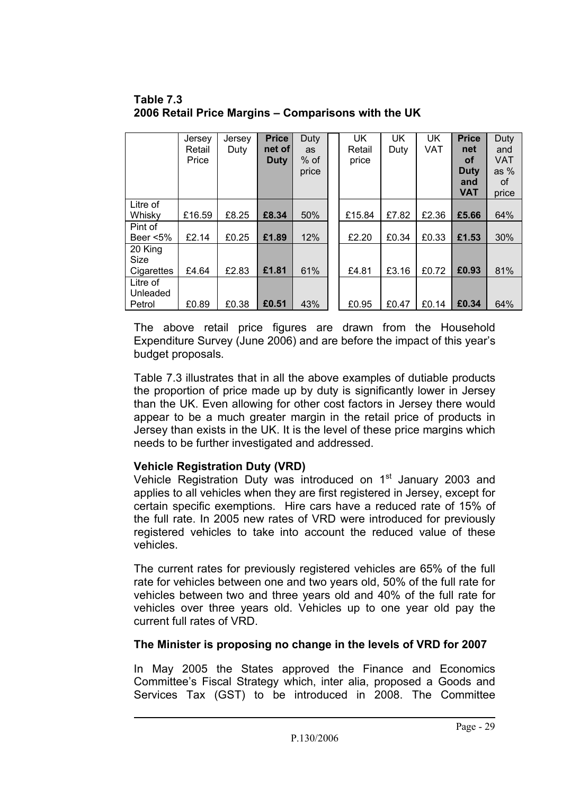| Table 7.3                                           |
|-----------------------------------------------------|
| 2006 Retail Price Margins – Comparisons with the UK |
|                                                     |

|                                | Jersey<br>Retail<br>Price | Jersey<br>Duty | <b>Price</b><br>net of<br><b>Duty</b> | Duty<br>as<br>$%$ of<br>price | UK<br>Retail<br>price | <b>UK</b><br>Duty | UK<br><b>VAT</b> | <b>Price</b><br>net<br><b>of</b><br><b>Duty</b><br>and<br><b>VAT</b> | Duty<br>and<br><b>VAT</b><br>as $%$<br>0f<br>price |
|--------------------------------|---------------------------|----------------|---------------------------------------|-------------------------------|-----------------------|-------------------|------------------|----------------------------------------------------------------------|----------------------------------------------------|
| Litre of<br>Whisky             | £16.59                    | £8.25          | £8.34                                 | 50%                           | £15.84                | £7.82             | £2.36            | £5.66                                                                | 64%                                                |
| Pint of<br>Beer <5%            | £2.14                     | £0.25          | £1.89                                 | 12%                           | £2.20                 | £0.34             | £0.33            | £1.53                                                                | 30%                                                |
| 20 King<br>Size<br>Cigarettes  | £4.64                     | £2.83          | £1.81                                 | 61%                           | £4.81                 | £3.16             | £0.72            | £0.93                                                                | 81%                                                |
| Litre of<br>Unleaded<br>Petrol | £0.89                     | £0.38          | £0.51                                 | 43%                           | £0.95                 | £0.47             | £0.14            | £0.34                                                                | 64%                                                |

The above retail price figures are drawn from the Household Expenditure Survey (June 2006) and are before the impact of this year's budget proposals.

Table 7.3 illustrates that in all the above examples of dutiable products the proportion of price made up by duty is significantly lower in Jersey than the UK. Even allowing for other cost factors in Jersey there would appear to be a much greater margin in the retail price of products in Jersey than exists in the UK. It is the level of these price margins which needs to be further investigated and addressed.

#### **Vehicle Registration Duty (VRD)**

Vehicle Registration Duty was introduced on  $1<sup>st</sup>$  January 2003 and applies to all vehicles when they are first registered in Jersey, except for certain specific exemptions. Hire cars have a reduced rate of 15% of the full rate. In 2005 new rates of VRD were introduced for previously registered vehicles to take into account the reduced value of these vehicles.

The current rates for previously registered vehicles are 65% of the full rate for vehicles between one and two years old, 50% of the full rate for vehicles between two and three years old and 40% of the full rate for vehicles over three years old. Vehicles up to one year old pay the current full rates of VRD.

#### **The Minister is proposing no change in the levels of VRD for 2007**

In May 2005 the States approved the Finance and Economics Committee's Fiscal Strategy which, inter alia, proposed a Goods and Services Tax (GST) to be introduced in 2008. The Committee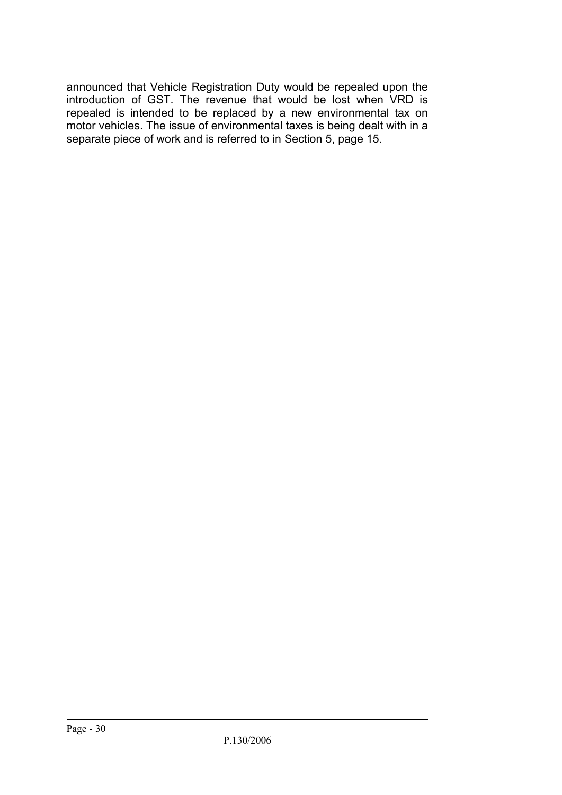announced that Vehicle Registration Duty would be repealed upon the introduction of GST. The revenue that would be lost when VRD is repealed is intended to be replaced by a new environmental tax on motor vehicles. The issue of environmental taxes is being dealt with in a separate piece of work and is referred to in Section 5, page 15.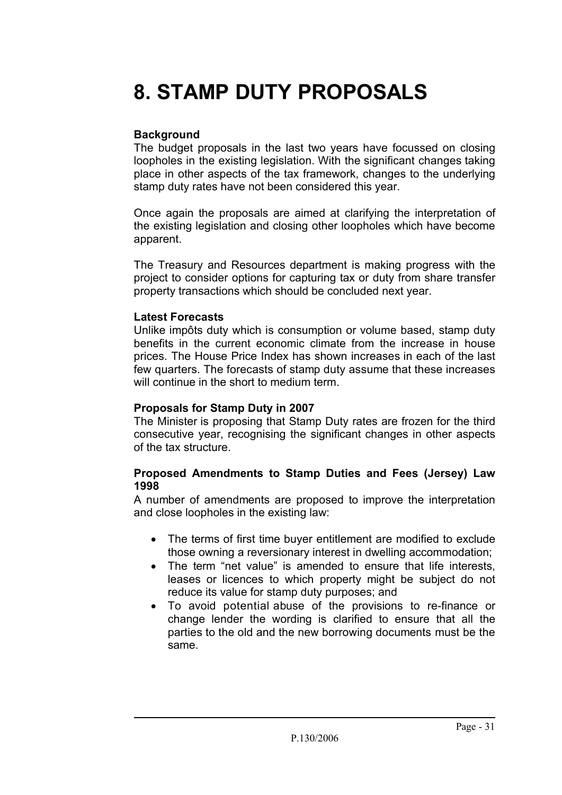### **8. STAMP DUTY PROPOSALS**

#### **Background**

The budget proposals in the last two years have focussed on closing loopholes in the existing legislation. With the significant changes taking place in other aspects of the tax framework, changes to the underlying stamp duty rates have not been considered this year.

Once again the proposals are aimed at clarifying the interpretation of the existing legislation and closing other loopholes which have become apparent.

The Treasury and Resources department is making progress with the project to consider options for capturing tax or duty from share transfer property transactions which should be concluded next year.

#### **Latest Forecasts**

Unlike impôts duty which is consumption or volume based, stamp duty benefits in the current economic climate from the increase in house prices. The House Price Index has shown increases in each of the last few quarters. The forecasts of stamp duty assume that these increases will continue in the short to medium term.

#### **Proposals for Stamp Duty in 2007**

The Minister is proposing that Stamp Duty rates are frozen for the third consecutive year, recognising the significant changes in other aspects of the tax structure.

#### **Proposed Amendments to Stamp Duties and Fees (Jersey) Law 1998**

A number of amendments are proposed to improve the interpretation and close loopholes in the existing law:

- The terms of first time buyer entitlement are modified to exclude those owning a reversionary interest in dwelling accommodation;
- The term "net value" is amended to ensure that life interests, leases or licences to which property might be subject do not reduce its value for stamp duty purposes; and
- To avoid potential abuse of the provisions to re-finance or change lender the wording is clarified to ensure that all the parties to the old and the new borrowing documents must be the same.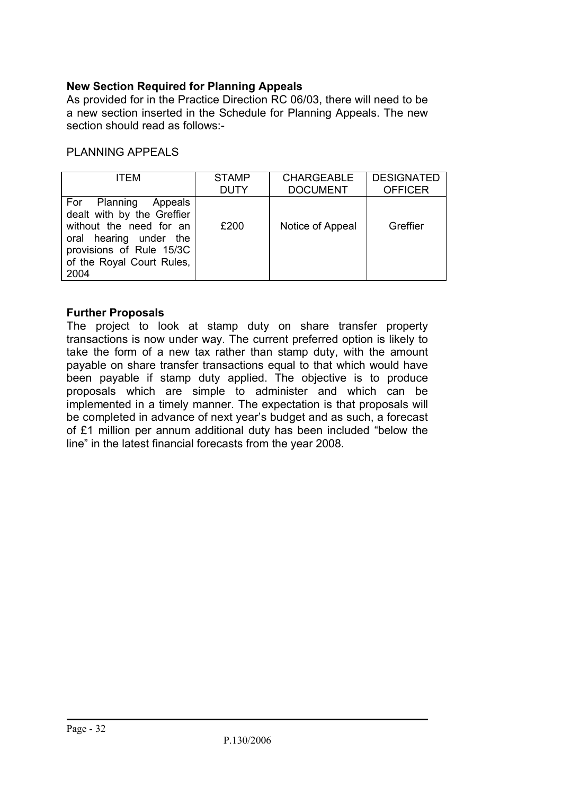#### **New Section Required for Planning Appeals**

As provided for in the Practice Direction RC 06/03, there will need to be a new section inserted in the Schedule for Planning Appeals. The new section should read as follows:-

#### PLANNING APPEALS

| ITFM                                                                                                                                                                     | <b>STAMP</b> | <b>CHARGEABLE</b> | <b>DESIGNATED</b> |
|--------------------------------------------------------------------------------------------------------------------------------------------------------------------------|--------------|-------------------|-------------------|
|                                                                                                                                                                          | <b>DUTY</b>  | <b>DOCUMENT</b>   | <b>OFFICER</b>    |
| For Planning Appeals<br>dealt with by the Greffier<br>without the need for an<br>oral hearing under the<br>provisions of Rule 15/3C<br>of the Royal Court Rules,<br>2004 | £200         | Notice of Appeal  | Greffier          |

#### **Further Proposals**

The project to look at stamp duty on share transfer property transactions is now under way. The current preferred option is likely to take the form of a new tax rather than stamp duty, with the amount payable on share transfer transactions equal to that which would have been payable if stamp duty applied. The objective is to produce proposals which are simple to administer and which can be implemented in a timely manner. The expectation is that proposals will be completed in advance of next year's budget and as such, a forecast of £1 million per annum additional duty has been included "below the line" in the latest financial forecasts from the year 2008.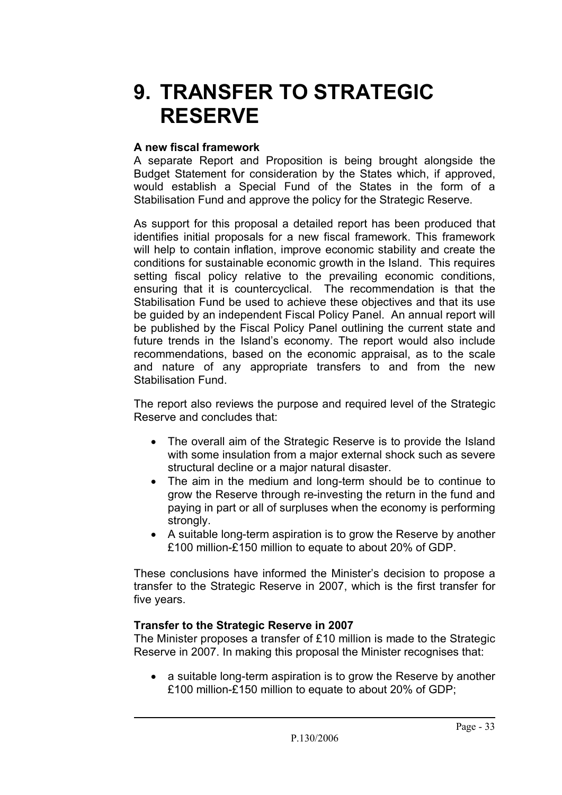### **9. TRANSFER TO STRATEGIC RESERVE**

#### **A new fiscal framework**

A separate Report and Proposition is being brought alongside the Budget Statement for consideration by the States which, if approved, would establish a Special Fund of the States in the form of a Stabilisation Fund and approve the policy for the Strategic Reserve.

As support for this proposal a detailed report has been produced that identifies initial proposals for a new fiscal framework. This framework will help to contain inflation, improve economic stability and create the conditions for sustainable economic growth in the Island. This requires setting fiscal policy relative to the prevailing economic conditions, ensuring that it is countercyclical. The recommendation is that the Stabilisation Fund be used to achieve these objectives and that its use be guided by an independent Fiscal Policy Panel. An annual report will be published by the Fiscal Policy Panel outlining the current state and future trends in the Island's economy. The report would also include recommendations, based on the economic appraisal, as to the scale and nature of any appropriate transfers to and from the new Stabilisation Fund.

The report also reviews the purpose and required level of the Strategic Reserve and concludes that:

- The overall aim of the Strategic Reserve is to provide the Island with some insulation from a major external shock such as severe structural decline or a major natural disaster.
- The aim in the medium and long-term should be to continue to grow the Reserve through re-investing the return in the fund and paying in part or all of surpluses when the economy is performing strongly.
- A suitable long-term aspiration is to grow the Reserve by another £100 million-£150 million to equate to about 20% of GDP.

These conclusions have informed the Minister's decision to propose a transfer to the Strategic Reserve in 2007, which is the first transfer for five years.

#### **Transfer to the Strategic Reserve in 2007**

The Minister proposes a transfer of £10 million is made to the Strategic Reserve in 2007. In making this proposal the Minister recognises that:

• a suitable long-term aspiration is to grow the Reserve by another £100 million-£150 million to equate to about 20% of GDP;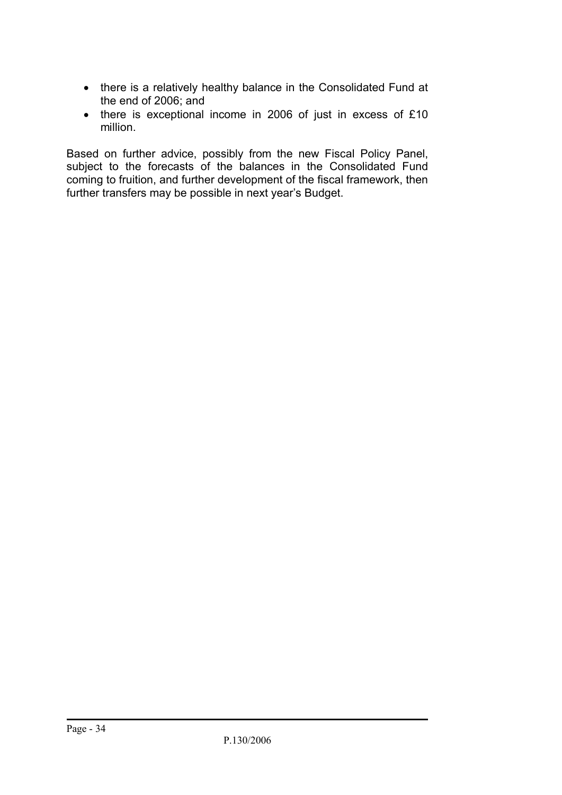- there is a relatively healthy balance in the Consolidated Fund at the end of 2006; and
- there is exceptional income in 2006 of just in excess of £10 million.

Based on further advice, possibly from the new Fiscal Policy Panel, subject to the forecasts of the balances in the Consolidated Fund coming to fruition, and further development of the fiscal framework, then further transfers may be possible in next year's Budget.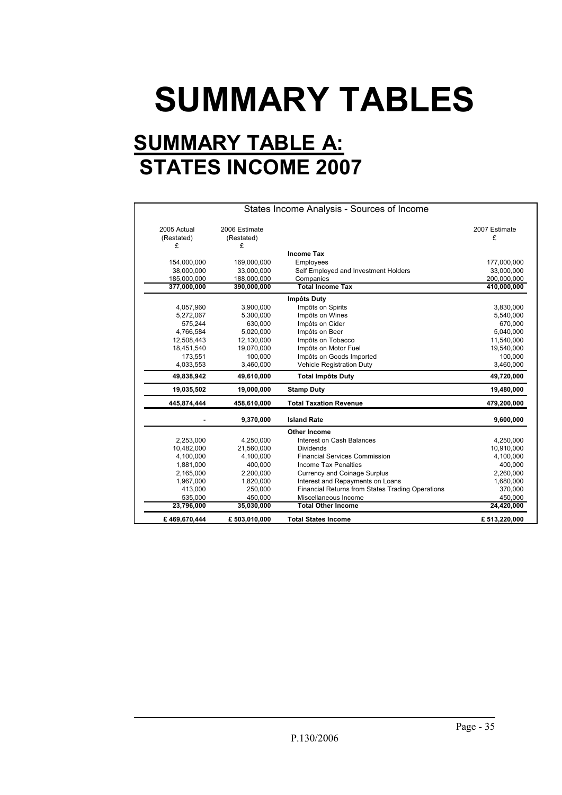# **SUMMARY TABLES**

### **SUMMARY TABLE A: STATES INCOME 2007**

| 2005 Actual | 2006 Estimate |                                                  | 2007 Estimate         |
|-------------|---------------|--------------------------------------------------|-----------------------|
| (Restated)  | (Restated)    |                                                  | £                     |
| £           | £             |                                                  |                       |
|             |               | <b>Income Tax</b>                                |                       |
| 154,000,000 | 169,000,000   | Employees                                        | 177,000,000           |
| 38,000,000  | 33,000,000    | Self Employed and Investment Holders             | 33,000,000            |
| 185,000,000 | 188,000,000   | Companies                                        | 200,000,000           |
| 377,000,000 | 390,000,000   | <b>Total Income Tax</b>                          | 410,000,000           |
|             |               | Impôts Duty                                      |                       |
| 4,057,960   | 3,900,000     | Impôts on Spirits                                | 3,830,000             |
| 5,272,067   | 5,300,000     | Impôts on Wines                                  | 5,540,000             |
| 575,244     | 630,000       | Impôts on Cider                                  | 670,000               |
| 4,766,584   | 5,020,000     | Impôts on Beer                                   | 5,040,000             |
| 12,508,443  | 12,130,000    | Impôts on Tobacco                                | 11,540,000            |
| 18,451,540  | 19,070,000    | Impôts on Motor Fuel                             | 19,540,000            |
| 173,551     | 100,000       | Impôts on Goods Imported                         | 100,000               |
| 4,033,553   | 3,460,000     | <b>Vehicle Registration Duty</b>                 | 3,460,000             |
| 49,838,942  | 49,610,000    | <b>Total Impôts Duty</b>                         | 49,720,000            |
| 19,035,502  | 19,000,000    | <b>Stamp Duty</b>                                | 19,480,000            |
| 445,874,444 | 458,610,000   | <b>Total Taxation Revenue</b>                    | 479,200,000           |
|             | 9,370,000     | <b>Island Rate</b>                               | 9,600,000             |
|             |               | <b>Other Income</b>                              |                       |
| 2,253,000   | 4,250,000     | Interest on Cash Balances                        | 4,250,000             |
| 10,482,000  | 21,560,000    | <b>Dividends</b>                                 | 10,910,000            |
| 4,100,000   | 4,100,000     | <b>Financial Services Commission</b>             | 4,100,000             |
| 1,881,000   | 400,000       | Income Tax Penalties                             | 400,000               |
| 2,165,000   | 2,200,000     | <b>Currency and Coinage Surplus</b>              | 2,260,000             |
| 1,967,000   | 1,820,000     | Interest and Repayments on Loans                 | 1,680,000             |
|             | 250,000       | Financial Returns from States Trading Operations | 370,000               |
| 413,000     |               |                                                  |                       |
| 535,000     | 450,000       | Miscellaneous Income                             |                       |
| 23,796,000  | 35,030,000    | <b>Total Other Income</b>                        | 450,000<br>24,420,000 |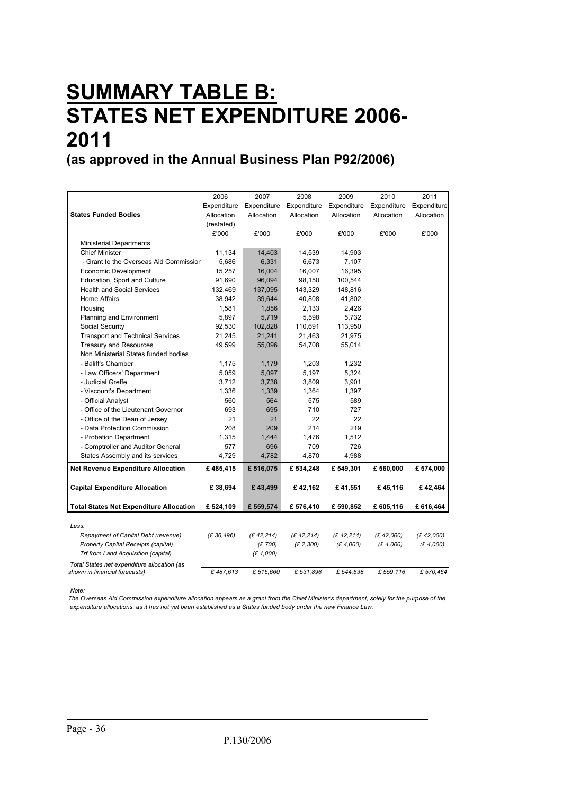### **SUMMARY TABLE B: STATES NET EXPENDITURE 2006- 2011**

**(as approved in the Annual Business Plan P92/2006)**

|                                                | 2006        | 2007        | 2008        | 2009        | 2010        | 2011        |
|------------------------------------------------|-------------|-------------|-------------|-------------|-------------|-------------|
|                                                | Expenditure | Expenditure | Expenditure | Expenditure | Expenditure | Expenditure |
| <b>States Funded Bodies</b>                    | Allocation  | Allocation  | Allocation  | Allocation  | Allocation  | Allocation  |
|                                                | (restated)  |             |             |             |             |             |
|                                                | £'000       | £'000       | £'000       | £'000       | £'000       | £'000       |
| <b>Ministerial Departments</b>                 |             |             |             |             |             |             |
| <b>Chief Minister</b>                          | 11,134      | 14,403      | 14,539      | 14,903      |             |             |
| - Grant to the Overseas Aid Commission         | 5,686       | 6,331       | 6,673       | 7,107       |             |             |
| Economic Development                           | 15,257      | 16,004      | 16,007      | 16,395      |             |             |
| Education, Sport and Culture                   | 91,690      | 96,094      | 98,150      | 100,544     |             |             |
| <b>Health and Social Services</b>              | 132,469     | 137,095     | 143,329     | 148,816     |             |             |
| Home Affairs                                   | 38,942      | 39,644      | 40,808      | 41,802      |             |             |
| Housing                                        | 1,581       | 1,856       | 2,133       | 2,426       |             |             |
| Planning and Environment                       | 5,897       | 5,719       | 5,598       | 5,732       |             |             |
| Social Security                                | 92,530      | 102,828     | 110,691     | 113,950     |             |             |
| <b>Transport and Technical Services</b>        | 21,245      | 21,241      | 21,463      | 21,975      |             |             |
| <b>Treasury and Resources</b>                  | 49,599      | 55,096      | 54,708      | 55,014      |             |             |
| Non Ministerial States funded bodies           |             |             |             |             |             |             |
| - Baliff's Chamber                             | 1,175       | 1,179       | 1,203       | 1,232       |             |             |
| - Law Officers' Department                     | 5,059       | 5,097       | 5,197       | 5,324       |             |             |
| - Judicial Greffe                              | 3,712       | 3,738       | 3,809       | 3,901       |             |             |
| - Viscount's Department                        | 1,336       | 1,339       | 1,364       | 1,397       |             |             |
| - Official Analyst                             | 560         | 564         | 575         | 589         |             |             |
| - Office of the Lieutenant Governor            | 693         | 695         | 710         | 727         |             |             |
| - Office of the Dean of Jersey                 | 21          | 21          | 22          | 22          |             |             |
| - Data Protection Commission                   | 208         | 209         | 214         | 219         |             |             |
| - Probation Department                         | 1,315       | 1,444       | 1,476       | 1,512       |             |             |
| - Comptroller and Auditor General              | 577         | 696         | 709         | 726         |             |             |
| States Assembly and its services               | 4,729       | 4,782       | 4,870       | 4,988       |             |             |
| <b>Net Revenue Expenditure Allocation</b>      | £485,415    | £516,075    | £534,248    | £549,301    | £560,000    | £574,000    |
| <b>Capital Expenditure Allocation</b>          | £38,694     | £43,499     | £42,162     | £41,551     | £45,116     | £42,464     |
|                                                |             |             |             |             |             |             |
| <b>Total States Net Expenditure Allocation</b> | £524,109    | £559,574    | £576,410    | £590,852    | £605,116    | £616,464    |
| Less:                                          |             |             |             |             |             |             |
| Repayment of Capital Debt (revenue)            | (E 36, 496) | (E 42, 214) | (E 42, 214) | (E 42, 214) | (E 42,000)  | (E 42,000)  |
| Property Capital Receipts (capital)            |             | (£700)      | (E 2,300)   | (E 4,000)   | (E 4,000)   | (E 4,000)   |
| Trf from Land Acquisition (capital)            |             | (E 1,000)   |             |             |             |             |
| Total States net expenditure allocation (as    |             |             |             |             |             |             |
| shown in financial forecasts)                  | £487.613    | £ 515,660   | £531,896    | £544,638    | £ 559,116   | £570,464    |

*Note:* 

*The Overseas Aid Commission expenditure allocation appears as a grant from the Chief Minister's department, solely for the purpose of the expenditure allocations, as it has not yet been established as a States funded body under the new Finance Law.*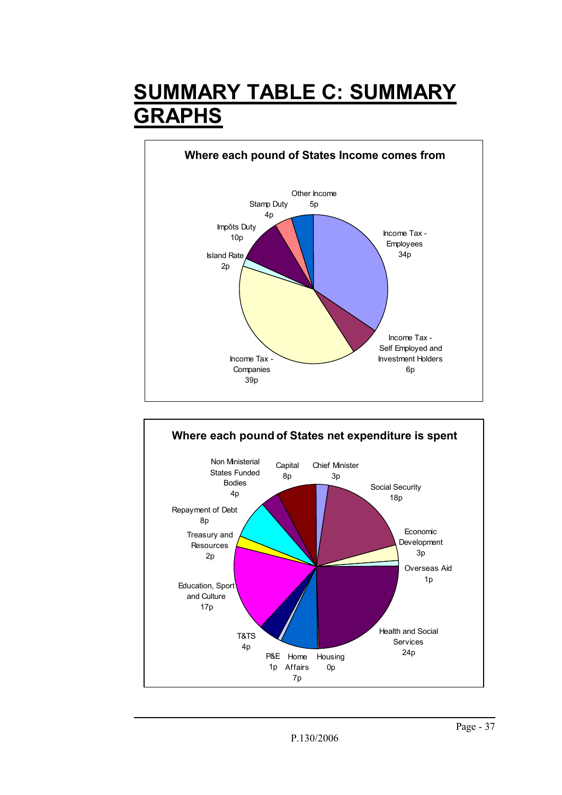### **SUMMARY TABLE C: SUMMARY GRAPHS**